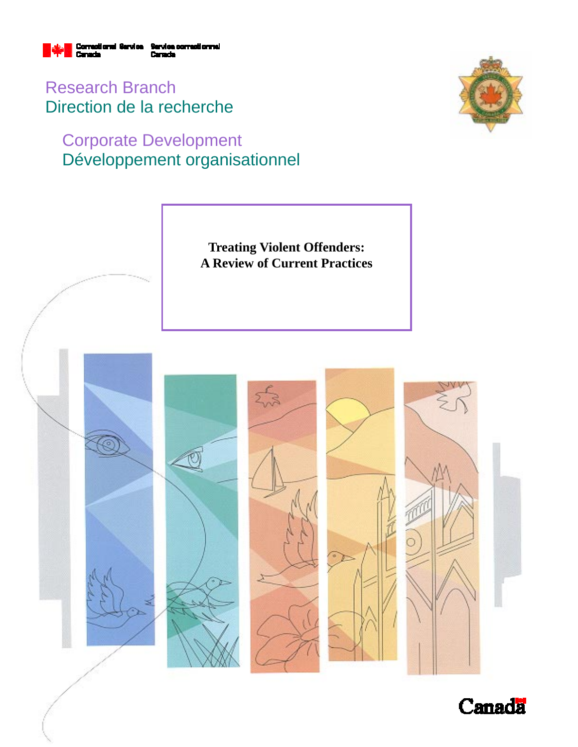

Research Branch Direction de la recherche

# Corporate Development Développement organisationnel





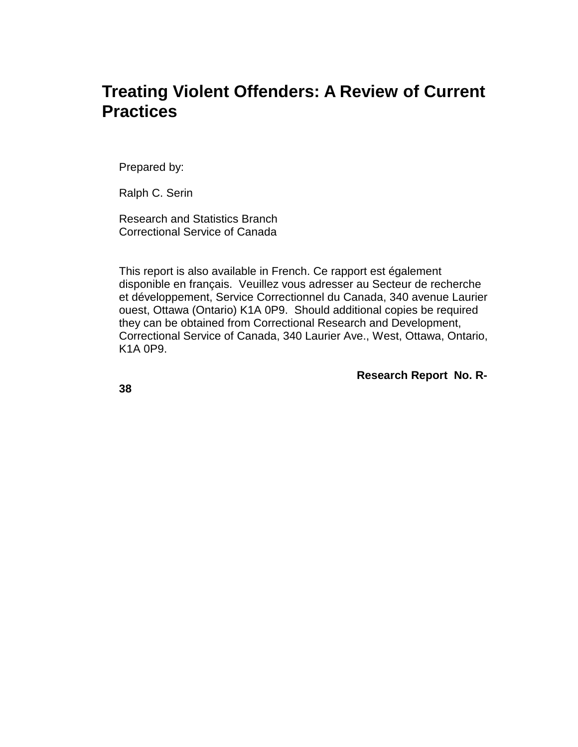# **Treating Violent Offenders: A Review of Current Practices**

Prepared by:

Ralph C. Serin

Research and Statistics Branch Correctional Service of Canada

This report is also available in French. Ce rapport est également disponible en français. Veuillez vous adresser au Secteur de recherche et développement, Service Correctionnel du Canada, 340 avenue Laurier ouest, Ottawa (Ontario) K1A 0P9. Should additional copies be required they can be obtained from Correctional Research and Development, Correctional Service of Canada, 340 Laurier Ave., West, Ottawa, Ontario, K1A 0P9.

**Research Report No. R-**

**38**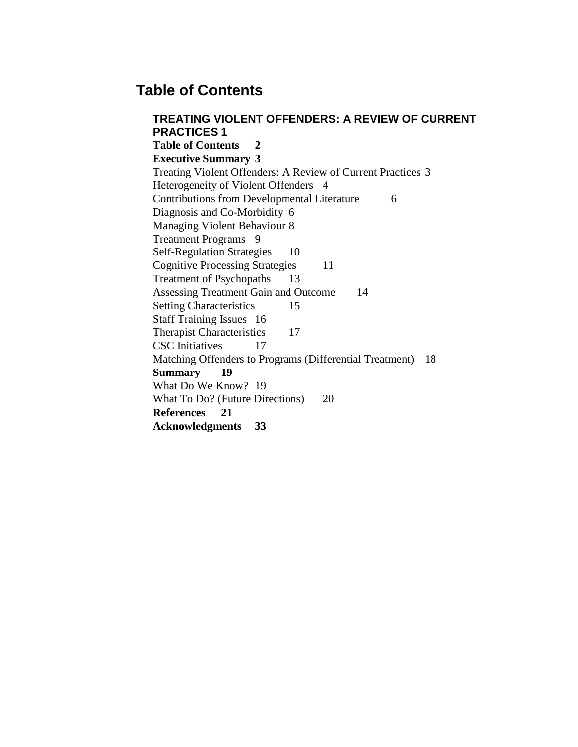# **Table of Contents**

#### **TREATING VIOLENT OFFENDERS: A REVIEW OF CURRENT PRACTICES 1 Table of Contents 2 Executive Summary 3** Treating Violent Offenders: A Review of Current Practices 3 Heterogeneity of Violent Offenders 4 Contributions from Developmental Literature 6 Diagnosis and Co-Morbidity 6 Managing Violent Behaviour 8 Treatment Programs 9 Self-Regulation Strategies 10 Cognitive Processing Strategies 11 Treatment of Psychopaths 13 Assessing Treatment Gain and Outcome 14 Setting Characteristics 15 Staff Training Issues 16 Therapist Characteristics 17 CSC Initiatives 17 Matching Offenders to Programs (Differential Treatment) 18 **Summary 19** What Do We Know? 19 What To Do? (Future Directions) 20 **References 21 Acknowledgments 33**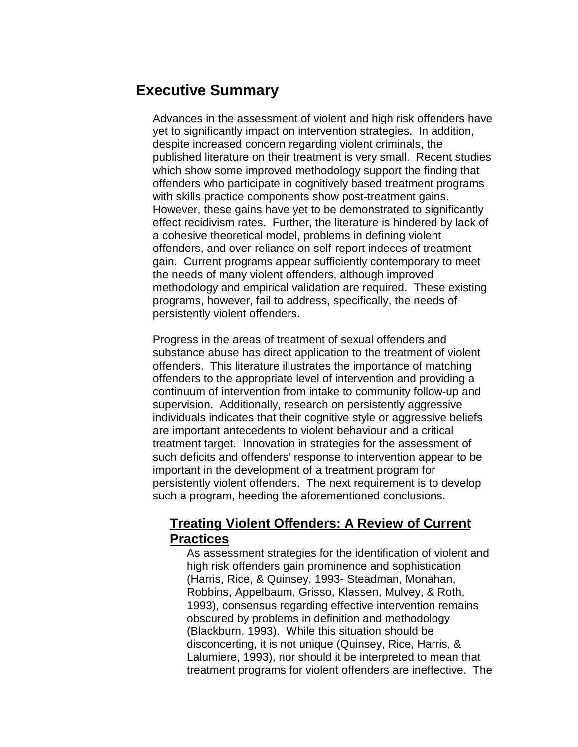# **Executive Summary**

Advances in the assessment of violent and high risk offenders have yet to significantly impact on intervention strategies. In addition, despite increased concern regarding violent criminals, the published literature on their treatment is very small. Recent studies which show some improved methodology support the finding that offenders who participate in cognitively based treatment programs with skills practice components show post-treatment gains. However, these gains have yet to be demonstrated to significantly effect recidivism rates. Further, the literature is hindered by lack of a cohesive theoretical model, problems in defining violent offenders, and over-reliance on self-report indeces of treatment gain. Current programs appear sufficiently contemporary to meet the needs of many violent offenders, although improved methodology and empirical validation are required. These existing programs, however, fail to address, specifically, the needs of persistently violent offenders.

Progress in the areas of treatment of sexual offenders and substance abuse has direct application to the treatment of violent offenders. This literature illustrates the importance of matching offenders to the appropriate level of intervention and providing a continuum of intervention from intake to community follow-up and supervision. Additionally, research on persistently aggressive individuals indicates that their cognitive style or aggressive beliefs are important antecedents to violent behaviour and a critical treatment target. Innovation in strategies for the assessment of such deficits and offenders' response to intervention appear to be important in the development of a treatment program for persistently violent offenders. The next requirement is to develop such a program, heeding the aforementioned conclusions.

## **Treating Violent Offenders: A Review of Current Practices**

As assessment strategies for the identification of violent and high risk offenders gain prominence and sophistication (Harris, Rice, & Quinsey, 1993- Steadman, Monahan, Robbins, Appelbaum, Grisso, Klassen, Mulvey, & Roth, 1993), consensus regarding effective intervention remains obscured by problems in definition and methodology (Blackburn, 1993). While this situation should be disconcerting, it is not unique (Quinsey, Rice, Harris, & Lalumiere, 1993), nor should it be interpreted to mean that treatment programs for violent offenders are ineffective. The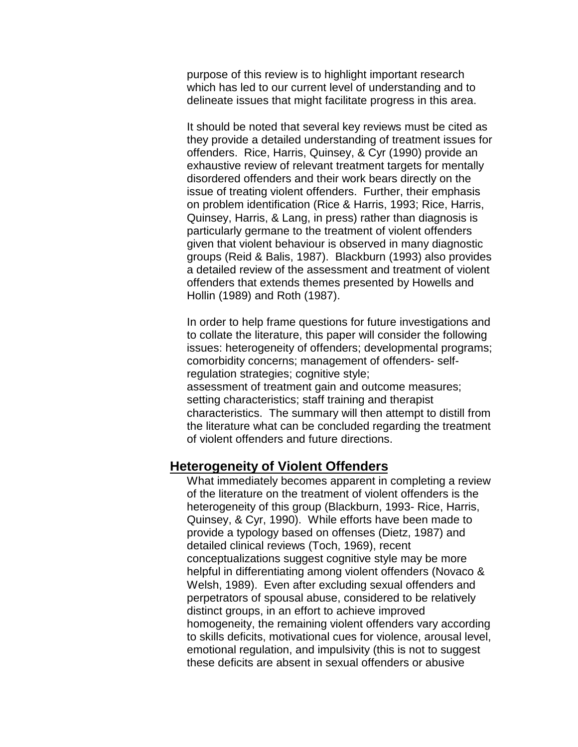purpose of this review is to highlight important research which has led to our current level of understanding and to delineate issues that might facilitate progress in this area.

It should be noted that several key reviews must be cited as they provide a detailed understanding of treatment issues for offenders. Rice, Harris, Quinsey, & Cyr (1990) provide an exhaustive review of relevant treatment targets for mentally disordered offenders and their work bears directly on the issue of treating violent offenders. Further, their emphasis on problem identification (Rice & Harris, 1993; Rice, Harris, Quinsey, Harris, & Lang, in press) rather than diagnosis is particularly germane to the treatment of violent offenders given that violent behaviour is observed in many diagnostic groups (Reid & Balis, 1987). Blackburn (1993) also provides a detailed review of the assessment and treatment of violent offenders that extends themes presented by Howells and Hollin (1989) and Roth (1987).

In order to help frame questions for future investigations and to collate the literature, this paper will consider the following issues: heterogeneity of offenders; developmental programs; comorbidity concerns; management of offenders- selfregulation strategies; cognitive style; assessment of treatment gain and outcome measures; setting characteristics; staff training and therapist characteristics. The summary will then attempt to distill from the literature what can be concluded regarding the treatment of violent offenders and future directions.

#### **Heterogeneity of Violent Offenders**

What immediately becomes apparent in completing a review of the literature on the treatment of violent offenders is the heterogeneity of this group (Blackburn, 1993- Rice, Harris, Quinsey, & Cyr, 1990). While efforts have been made to provide a typology based on offenses (Dietz, 1987) and detailed clinical reviews (Toch, 1969), recent conceptualizations suggest cognitive style may be more helpful in differentiating among violent offenders (Novaco & Welsh, 1989). Even after excluding sexual offenders and perpetrators of spousal abuse, considered to be relatively distinct groups, in an effort to achieve improved homogeneity, the remaining violent offenders vary according to skills deficits, motivational cues for violence, arousal level, emotional regulation, and impulsivity (this is not to suggest these deficits are absent in sexual offenders or abusive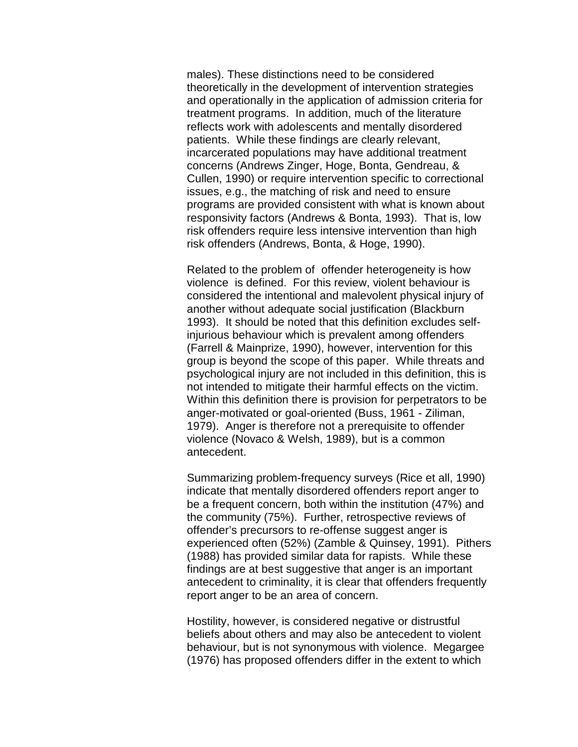males). These distinctions need to be considered theoretically in the development of intervention strategies and operationally in the application of admission criteria for treatment programs. In addition, much of the literature reflects work with adolescents and mentally disordered patients. While these findings are clearly relevant, incarcerated populations may have additional treatment concerns (Andrews Zinger, Hoge, Bonta, Gendreau, & Cullen, 1990) or require intervention specific to correctional issues, e.g., the matching of risk and need to ensure programs are provided consistent with what is known about responsivity factors (Andrews & Bonta, 1993). That is, low risk offenders require less intensive intervention than high risk offenders (Andrews, Bonta, & Hoge, 1990).

Related to the problem of offender heterogeneity is how violence is defined. For this review, violent behaviour is considered the intentional and malevolent physical injury of another without adequate social justification (Blackburn 1993). It should be noted that this definition excludes selfinjurious behaviour which is prevalent among offenders (Farrell & Mainprize, 1990), however, intervention for this group is beyond the scope of this paper. While threats and psychological injury are not included in this definition, this is not intended to mitigate their harmful effects on the victim. Within this definition there is provision for perpetrators to be anger-motivated or goal-oriented (Buss, 1961 - Ziliman, 1979). Anger is therefore not a prerequisite to offender violence (Novaco & Welsh, 1989), but is a common antecedent.

Summarizing problem-frequency surveys (Rice et all, 1990) indicate that mentally disordered offenders report anger to be a frequent concern, both within the institution (47%) and the community (75%). Further, retrospective reviews of offender's precursors to re-offense suggest anger is experienced often (52%) (Zamble & Quinsey, 1991). Pithers (1988) has provided similar data for rapists. While these findings are at best suggestive that anger is an important antecedent to criminality, it is clear that offenders frequently report anger to be an area of concern.

Hostility, however, is considered negative or distrustful beliefs about others and may also be antecedent to violent behaviour, but is not synonymous with violence. Megargee (1976) has proposed offenders differ in the extent to which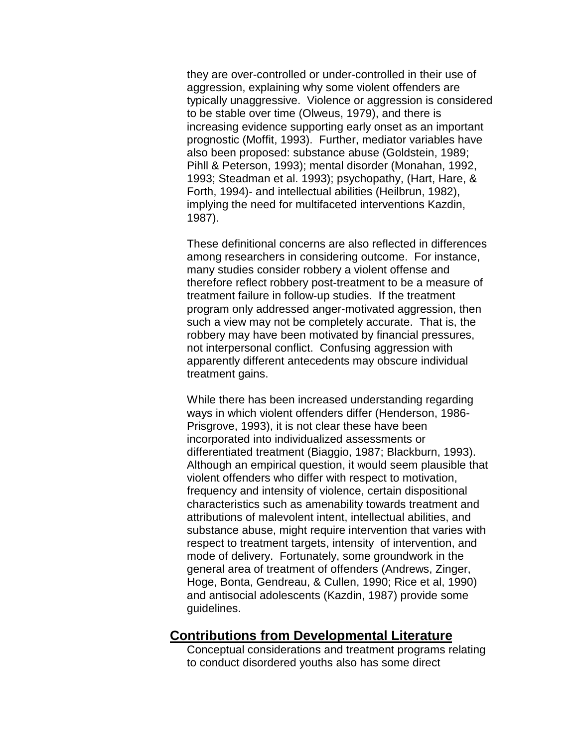they are over-controlled or under-controlled in their use of aggression, explaining why some violent offenders are typically unaggressive. Violence or aggression is considered to be stable over time (Olweus, 1979), and there is increasing evidence supporting early onset as an important prognostic (Moffit, 1993). Further, mediator variables have also been proposed: substance abuse (Goldstein, 1989; Pihll & Peterson, 1993); mental disorder (Monahan, 1992, 1993; Steadman et al. 1993); psychopathy, (Hart, Hare, & Forth, 1994)- and intellectual abilities (Heilbrun, 1982), implying the need for multifaceted interventions Kazdin, 1987).

These definitional concerns are also reflected in differences among researchers in considering outcome. For instance, many studies consider robbery a violent offense and therefore reflect robbery post-treatment to be a measure of treatment failure in follow-up studies. If the treatment program only addressed anger-motivated aggression, then such a view may not be completely accurate. That is, the robbery may have been motivated by financial pressures, not interpersonal conflict. Confusing aggression with apparently different antecedents may obscure individual treatment gains.

While there has been increased understanding regarding ways in which violent offenders differ (Henderson, 1986- Prisgrove, 1993), it is not clear these have been incorporated into individualized assessments or differentiated treatment (Biaggio, 1987; Blackburn, 1993). Although an empirical question, it would seem plausible that violent offenders who differ with respect to motivation, frequency and intensity of violence, certain dispositional characteristics such as amenability towards treatment and attributions of malevolent intent, intellectual abilities, and substance abuse, might require intervention that varies with respect to treatment targets, intensity of intervention, and mode of delivery. Fortunately, some groundwork in the general area of treatment of offenders (Andrews, Zinger, Hoge, Bonta, Gendreau, & Cullen, 1990; Rice et al, 1990) and antisocial adolescents (Kazdin, 1987) provide some guidelines.

#### **Contributions from Developmental Literature**

Conceptual considerations and treatment programs relating to conduct disordered youths also has some direct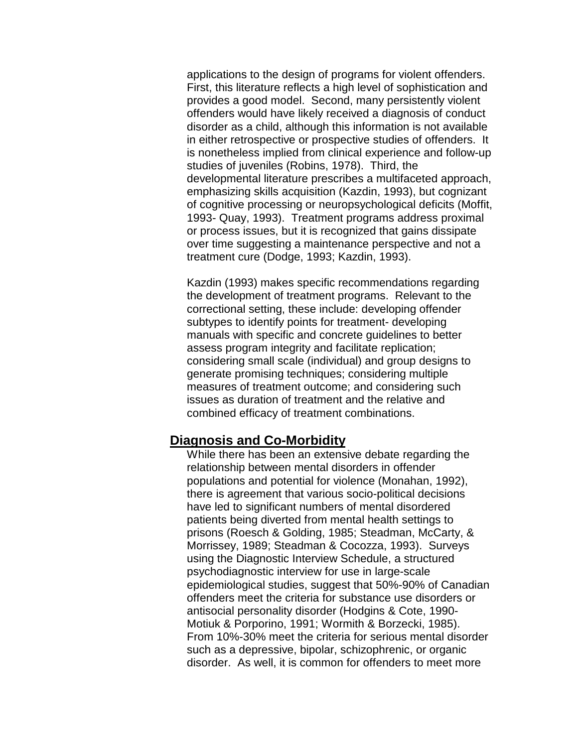applications to the design of programs for violent offenders. First, this literature reflects a high level of sophistication and provides a good model. Second, many persistently violent offenders would have likely received a diagnosis of conduct disorder as a child, although this information is not available in either retrospective or prospective studies of offenders. It is nonetheless implied from clinical experience and follow-up studies of juveniles (Robins, 1978). Third, the developmental literature prescribes a multifaceted approach, emphasizing skills acquisition (Kazdin, 1993), but cognizant of cognitive processing or neuropsychological deficits (Moffit, 1993- Quay, 1993). Treatment programs address proximal or process issues, but it is recognized that gains dissipate over time suggesting a maintenance perspective and not a treatment cure (Dodge, 1993; Kazdin, 1993).

Kazdin (1993) makes specific recommendations regarding the development of treatment programs. Relevant to the correctional setting, these include: developing offender subtypes to identify points for treatment- developing manuals with specific and concrete guidelines to better assess program integrity and facilitate replication; considering small scale (individual) and group designs to generate promising techniques; considering multiple measures of treatment outcome; and considering such issues as duration of treatment and the relative and combined efficacy of treatment combinations.

#### **Diagnosis and Co-Morbidity**

While there has been an extensive debate regarding the relationship between mental disorders in offender populations and potential for violence (Monahan, 1992), there is agreement that various socio-political decisions have led to significant numbers of mental disordered patients being diverted from mental health settings to prisons (Roesch & Golding, 1985; Steadman, McCarty, & Morrissey, 1989; Steadman & Cocozza, 1993). Surveys using the Diagnostic Interview Schedule, a structured psychodiagnostic interview for use in large-scale epidemiological studies, suggest that 50%-90% of Canadian offenders meet the criteria for substance use disorders or antisocial personality disorder (Hodgins & Cote, 1990- Motiuk & Porporino, 1991; Wormith & Borzecki, 1985). From 10%-30% meet the criteria for serious mental disorder such as a depressive, bipolar, schizophrenic, or organic disorder. As well, it is common for offenders to meet more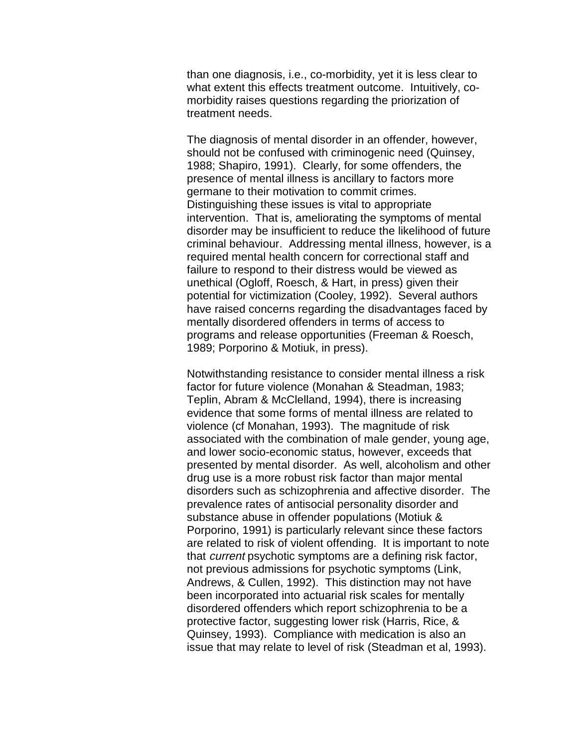than one diagnosis, i.e., co-morbidity, yet it is less clear to what extent this effects treatment outcome. Intuitively, comorbidity raises questions regarding the priorization of treatment needs.

The diagnosis of mental disorder in an offender, however, should not be confused with criminogenic need (Quinsey, 1988; Shapiro, 1991). Clearly, for some offenders, the presence of mental illness is ancillary to factors more germane to their motivation to commit crimes. Distinguishing these issues is vital to appropriate intervention. That is, ameliorating the symptoms of mental disorder may be insufficient to reduce the likelihood of future criminal behaviour. Addressing mental illness, however, is a required mental health concern for correctional staff and failure to respond to their distress would be viewed as unethical (Ogloff, Roesch, & Hart, in press) given their potential for victimization (Cooley, 1992). Several authors have raised concerns regarding the disadvantages faced by mentally disordered offenders in terms of access to programs and release opportunities (Freeman & Roesch, 1989; Porporino & Motiuk, in press).

Notwithstanding resistance to consider mental illness a risk factor for future violence (Monahan & Steadman, 1983; Teplin, Abram & McClelland, 1994), there is increasing evidence that some forms of mental illness are related to violence (cf Monahan, 1993). The magnitude of risk associated with the combination of male gender, young age, and lower socio-economic status, however, exceeds that presented by mental disorder. As well, alcoholism and other drug use is a more robust risk factor than major mental disorders such as schizophrenia and affective disorder. The prevalence rates of antisocial personality disorder and substance abuse in offender populations (Motiuk & Porporino, 1991) is particularly relevant since these factors are related to risk of violent offending. It is important to note that current psychotic symptoms are a defining risk factor, not previous admissions for psychotic symptoms (Link, Andrews, & Cullen, 1992). This distinction may not have been incorporated into actuarial risk scales for mentally disordered offenders which report schizophrenia to be a protective factor, suggesting lower risk (Harris, Rice, & Quinsey, 1993). Compliance with medication is also an issue that may relate to level of risk (Steadman et al, 1993).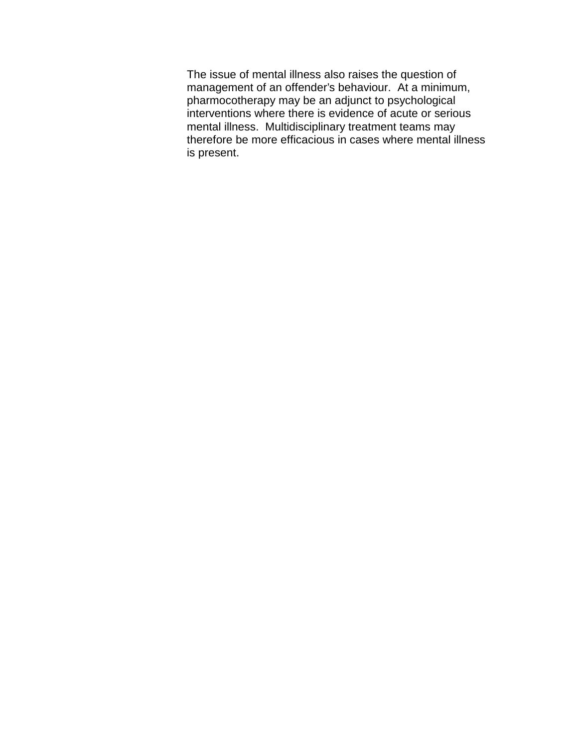The issue of mental illness also raises the question of management of an offender's behaviour. At a minimum, pharmocotherapy may be an adjunct to psychological interventions where there is evidence of acute or serious mental illness. Multidisciplinary treatment teams may therefore be more efficacious in cases where mental illness is present.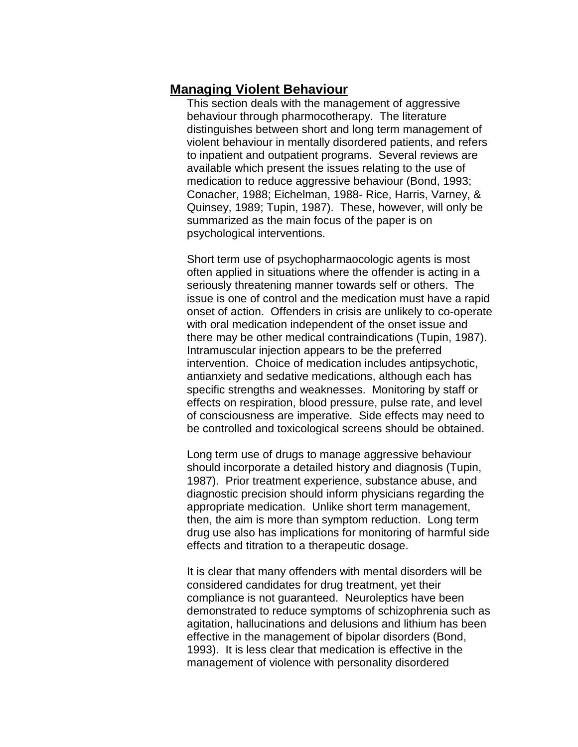#### **Managing Violent Behaviour**

This section deals with the management of aggressive behaviour through pharmocotherapy. The literature distinguishes between short and long term management of violent behaviour in mentally disordered patients, and refers to inpatient and outpatient programs. Several reviews are available which present the issues relating to the use of medication to reduce aggressive behaviour (Bond, 1993; Conacher, 1988; Eichelman, 1988- Rice, Harris, Varney, & Quinsey, 1989; Tupin, 1987). These, however, will only be summarized as the main focus of the paper is on psychological interventions.

Short term use of psychopharmaocologic agents is most often applied in situations where the offender is acting in a seriously threatening manner towards self or others. The issue is one of control and the medication must have a rapid onset of action. Offenders in crisis are unlikely to co-operate with oral medication independent of the onset issue and there may be other medical contraindications (Tupin, 1987). Intramuscular injection appears to be the preferred intervention. Choice of medication includes antipsychotic, antianxiety and sedative medications, although each has specific strengths and weaknesses. Monitoring by staff or effects on respiration, blood pressure, pulse rate, and level of consciousness are imperative. Side effects may need to be controlled and toxicological screens should be obtained.

Long term use of drugs to manage aggressive behaviour should incorporate a detailed history and diagnosis (Tupin, 1987). Prior treatment experience, substance abuse, and diagnostic precision should inform physicians regarding the appropriate medication. Unlike short term management, then, the aim is more than symptom reduction. Long term drug use also has implications for monitoring of harmful side effects and titration to a therapeutic dosage.

It is clear that many offenders with mental disorders will be considered candidates for drug treatment, yet their compliance is not guaranteed. Neuroleptics have been demonstrated to reduce symptoms of schizophrenia such as agitation, hallucinations and delusions and lithium has been effective in the management of bipolar disorders (Bond, 1993). It is less clear that medication is effective in the management of violence with personality disordered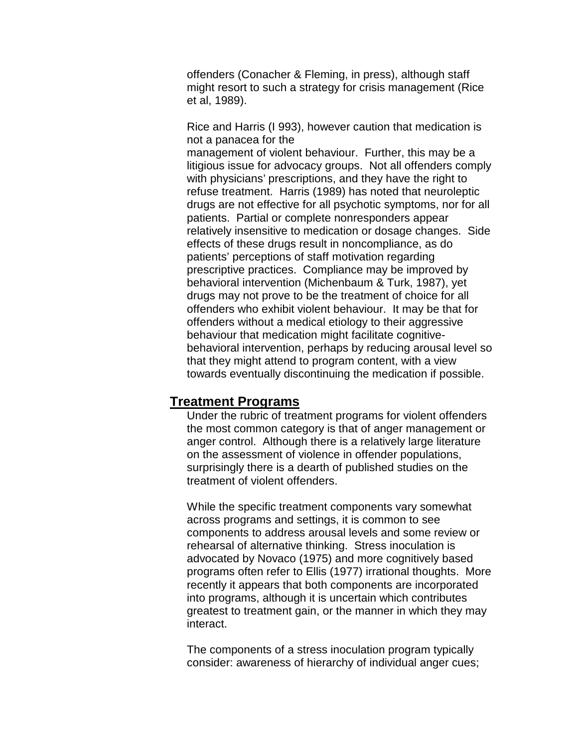offenders (Conacher & Fleming, in press), although staff might resort to such a strategy for crisis management (Rice et al, 1989).

Rice and Harris (I 993), however caution that medication is not a panacea for the management of violent behaviour. Further, this may be a litigious issue for advocacy groups. Not all offenders comply with physicians' prescriptions, and they have the right to refuse treatment. Harris (1989) has noted that neuroleptic drugs are not effective for all psychotic symptoms, nor for all patients. Partial or complete nonresponders appear relatively insensitive to medication or dosage changes. Side effects of these drugs result in noncompliance, as do patients' perceptions of staff motivation regarding prescriptive practices. Compliance may be improved by behavioral intervention (Michenbaum & Turk, 1987), yet drugs may not prove to be the treatment of choice for all offenders who exhibit violent behaviour. It may be that for offenders without a medical etiology to their aggressive behaviour that medication might facilitate cognitivebehavioral intervention, perhaps by reducing arousal level so that they might attend to program content, with a view towards eventually discontinuing the medication if possible.

#### **Treatment Programs**

Under the rubric of treatment programs for violent offenders the most common category is that of anger management or anger control. Although there is a relatively large literature on the assessment of violence in offender populations, surprisingly there is a dearth of published studies on the treatment of violent offenders.

While the specific treatment components vary somewhat across programs and settings, it is common to see components to address arousal levels and some review or rehearsal of alternative thinking. Stress inoculation is advocated by Novaco (1975) and more cognitively based programs often refer to Ellis (1977) irrational thoughts. More recently it appears that both components are incorporated into programs, although it is uncertain which contributes greatest to treatment gain, or the manner in which they may interact.

The components of a stress inoculation program typically consider: awareness of hierarchy of individual anger cues;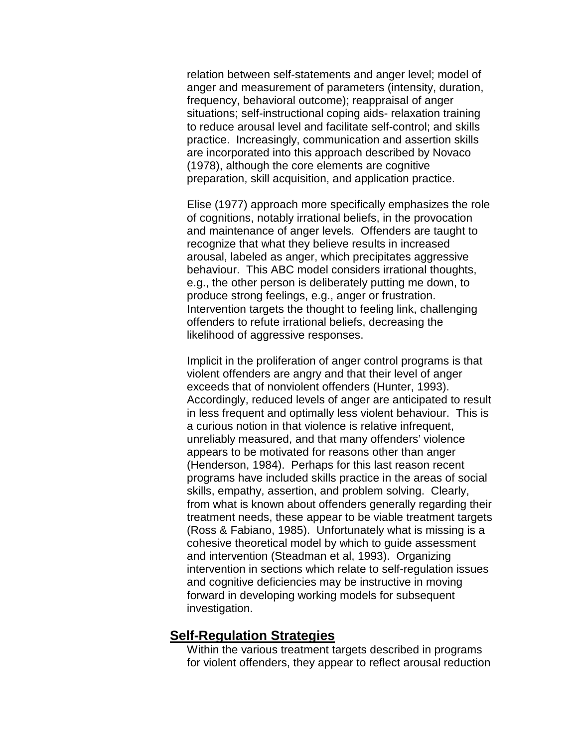relation between self-statements and anger level; model of anger and measurement of parameters (intensity, duration, frequency, behavioral outcome); reappraisal of anger situations; self-instructional coping aids- relaxation training to reduce arousal level and facilitate self-control; and skills practice. Increasingly, communication and assertion skills are incorporated into this approach described by Novaco (1978), although the core elements are cognitive preparation, skill acquisition, and application practice.

Elise (1977) approach more specifically emphasizes the role of cognitions, notably irrational beliefs, in the provocation and maintenance of anger levels. Offenders are taught to recognize that what they believe results in increased arousal, labeled as anger, which precipitates aggressive behaviour. This ABC model considers irrational thoughts, e.g., the other person is deliberately putting me down, to produce strong feelings, e.g., anger or frustration. Intervention targets the thought to feeling link, challenging offenders to refute irrational beliefs, decreasing the likelihood of aggressive responses.

Implicit in the proliferation of anger control programs is that violent offenders are angry and that their level of anger exceeds that of nonviolent offenders (Hunter, 1993). Accordingly, reduced levels of anger are anticipated to result in less frequent and optimally less violent behaviour. This is a curious notion in that violence is relative infrequent, unreliably measured, and that many offenders' violence appears to be motivated for reasons other than anger (Henderson, 1984). Perhaps for this last reason recent programs have included skills practice in the areas of social skills, empathy, assertion, and problem solving. Clearly, from what is known about offenders generally regarding their treatment needs, these appear to be viable treatment targets (Ross & Fabiano, 1985). Unfortunately what is missing is a cohesive theoretical model by which to guide assessment and intervention (Steadman et al, 1993). Organizing intervention in sections which relate to self-regulation issues and cognitive deficiencies may be instructive in moving forward in developing working models for subsequent investigation.

#### **Self-Regulation Strategies**

Within the various treatment targets described in programs for violent offenders, they appear to reflect arousal reduction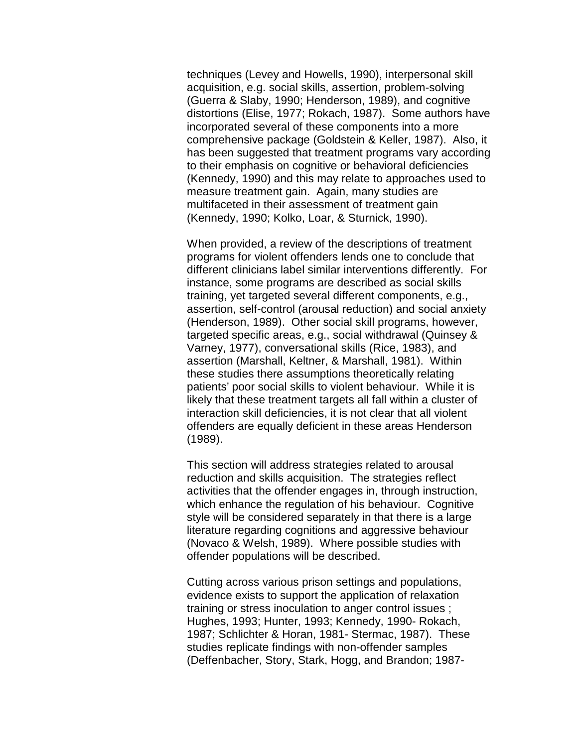techniques (Levey and Howells, 1990), interpersonal skill acquisition, e.g. social skills, assertion, problem-solving (Guerra & Slaby, 1990; Henderson, 1989), and cognitive distortions (Elise, 1977; Rokach, 1987). Some authors have incorporated several of these components into a more comprehensive package (Goldstein & Keller, 1987). Also, it has been suggested that treatment programs vary according to their emphasis on cognitive or behavioral deficiencies (Kennedy, 1990) and this may relate to approaches used to measure treatment gain. Again, many studies are multifaceted in their assessment of treatment gain (Kennedy, 1990; Kolko, Loar, & Sturnick, 1990).

When provided, a review of the descriptions of treatment programs for violent offenders lends one to conclude that different clinicians label similar interventions differently. For instance, some programs are described as social skills training, yet targeted several different components, e.g., assertion, self-control (arousal reduction) and social anxiety (Henderson, 1989). Other social skill programs, however, targeted specific areas, e.g., social withdrawal (Quinsey & Varney, 1977), conversational skills (Rice, 1983), and assertion (Marshall, Keltner, & Marshall, 1981). Within these studies there assumptions theoretically relating patients' poor social skills to violent behaviour. While it is likely that these treatment targets all fall within a cluster of interaction skill deficiencies, it is not clear that all violent offenders are equally deficient in these areas Henderson (1989).

This section will address strategies related to arousal reduction and skills acquisition. The strategies reflect activities that the offender engages in, through instruction, which enhance the regulation of his behaviour. Cognitive style will be considered separately in that there is a large literature regarding cognitions and aggressive behaviour (Novaco & Welsh, 1989). Where possible studies with offender populations will be described.

Cutting across various prison settings and populations, evidence exists to support the application of relaxation training or stress inoculation to anger control issues ; Hughes, 1993; Hunter, 1993; Kennedy, 1990- Rokach, 1987; Schlichter & Horan, 1981- Stermac, 1987). These studies replicate findings with non-offender samples (Deffenbacher, Story, Stark, Hogg, and Brandon; 1987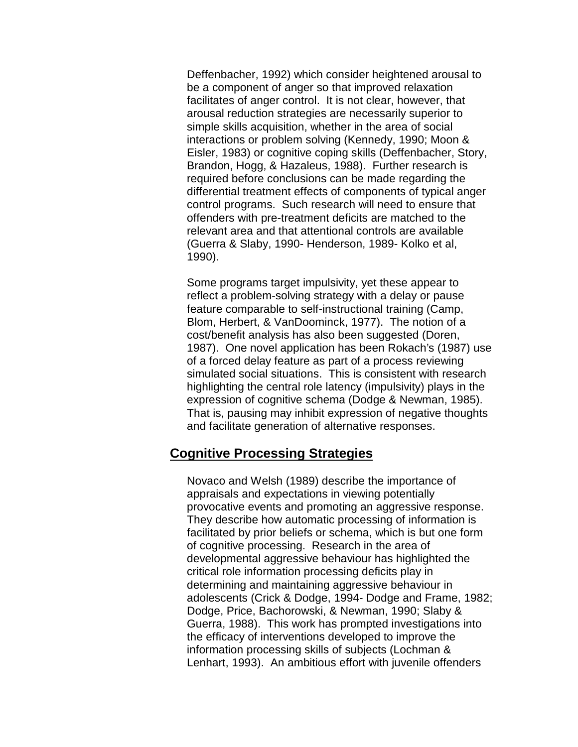Deffenbacher, 1992) which consider heightened arousal to be a component of anger so that improved relaxation facilitates of anger control. It is not clear, however, that arousal reduction strategies are necessarily superior to simple skills acquisition, whether in the area of social interactions or problem solving (Kennedy, 1990; Moon & Eisler, 1983) or cognitive coping skills (Deffenbacher, Story, Brandon, Hogg, & Hazaleus, 1988). Further research is required before conclusions can be made regarding the differential treatment effects of components of typical anger control programs. Such research will need to ensure that offenders with pre-treatment deficits are matched to the relevant area and that attentional controls are available (Guerra & Slaby, 1990- Henderson, 1989- Kolko et al, 1990).

Some programs target impulsivity, yet these appear to reflect a problem-solving strategy with a delay or pause feature comparable to self-instructional training (Camp, Blom, Herbert, & VanDoominck, 1977). The notion of a cost/benefit analysis has also been suggested (Doren, 1987). One novel application has been Rokach's (1987) use of a forced delay feature as part of a process reviewing simulated social situations. This is consistent with research highlighting the central role latency (impulsivity) plays in the expression of cognitive schema (Dodge & Newman, 1985). That is, pausing may inhibit expression of negative thoughts and facilitate generation of alternative responses.

#### **Cognitive Processing Strategies**

Novaco and Welsh (1989) describe the importance of appraisals and expectations in viewing potentially provocative events and promoting an aggressive response. They describe how automatic processing of information is facilitated by prior beliefs or schema, which is but one form of cognitive processing. Research in the area of developmental aggressive behaviour has highlighted the critical role information processing deficits play in determining and maintaining aggressive behaviour in adolescents (Crick & Dodge, 1994- Dodge and Frame, 1982; Dodge, Price, Bachorowski, & Newman, 1990; Slaby & Guerra, 1988). This work has prompted investigations into the efficacy of interventions developed to improve the information processing skills of subjects (Lochman & Lenhart, 1993). An ambitious effort with juvenile offenders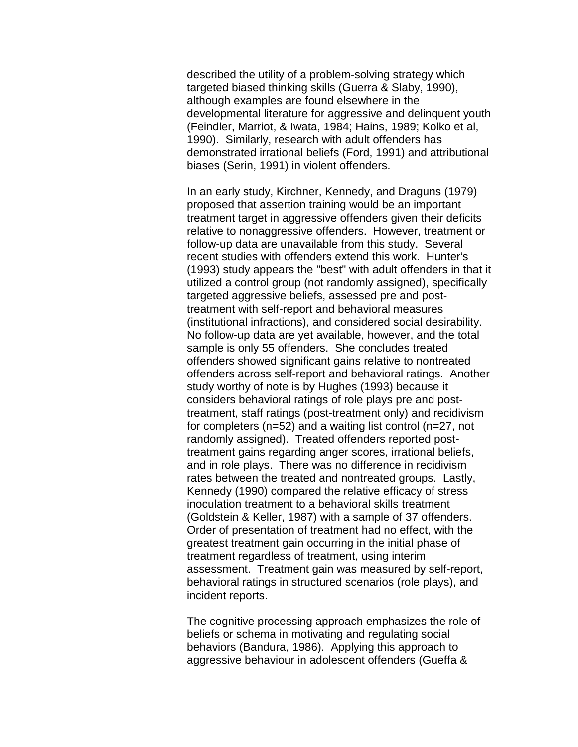described the utility of a problem-solving strategy which targeted biased thinking skills (Guerra & Slaby, 1990), although examples are found elsewhere in the developmental literature for aggressive and delinquent youth (Feindler, Marriot, & Iwata, 1984; Hains, 1989; Kolko et al, 1990). Similarly, research with adult offenders has demonstrated irrational beliefs (Ford, 1991) and attributional biases (Serin, 1991) in violent offenders.

In an early study, Kirchner, Kennedy, and Draguns (1979) proposed that assertion training would be an important treatment target in aggressive offenders given their deficits relative to nonaggressive offenders. However, treatment or follow-up data are unavailable from this study. Several recent studies with offenders extend this work. Hunter's (1993) study appears the "best" with adult offenders in that it utilized a control group (not randomly assigned), specifically targeted aggressive beliefs, assessed pre and posttreatment with self-report and behavioral measures (institutional infractions), and considered social desirability. No follow-up data are yet available, however, and the total sample is only 55 offenders. She concludes treated offenders showed significant gains relative to nontreated offenders across self-report and behavioral ratings. Another study worthy of note is by Hughes (1993) because it considers behavioral ratings of role plays pre and posttreatment, staff ratings (post-treatment only) and recidivism for completers (n=52) and a waiting list control (n=27, not randomly assigned). Treated offenders reported posttreatment gains regarding anger scores, irrational beliefs, and in role plays. There was no difference in recidivism rates between the treated and nontreated groups. Lastly, Kennedy (1990) compared the relative efficacy of stress inoculation treatment to a behavioral skills treatment (Goldstein & Keller, 1987) with a sample of 37 offenders. Order of presentation of treatment had no effect, with the greatest treatment gain occurring in the initial phase of treatment regardless of treatment, using interim assessment. Treatment gain was measured by self-report, behavioral ratings in structured scenarios (role plays), and incident reports.

The cognitive processing approach emphasizes the role of beliefs or schema in motivating and regulating social behaviors (Bandura, 1986). Applying this approach to aggressive behaviour in adolescent offenders (Gueffa &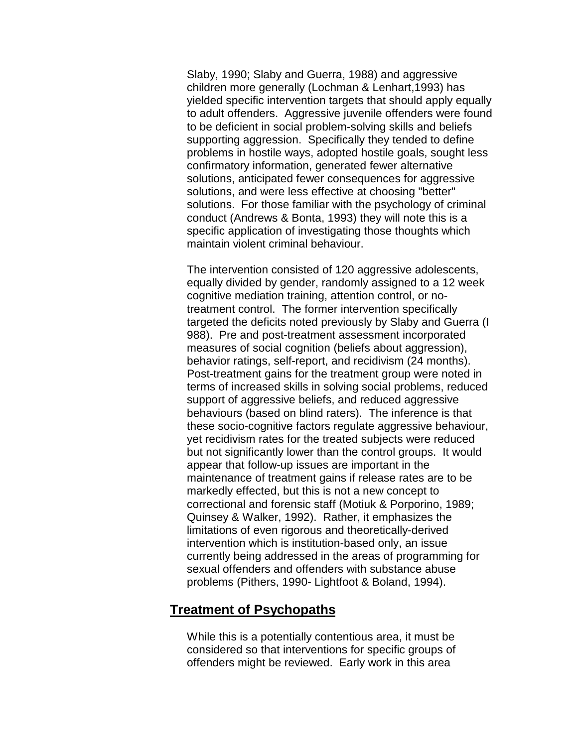Slaby, 1990; Slaby and Guerra, 1988) and aggressive children more generally (Lochman & Lenhart,1993) has yielded specific intervention targets that should apply equally to adult offenders. Aggressive juvenile offenders were found to be deficient in social problem-solving skills and beliefs supporting aggression. Specifically they tended to define problems in hostile ways, adopted hostile goals, sought less confirmatory information, generated fewer alternative solutions, anticipated fewer consequences for aggressive solutions, and were less effective at choosing "better" solutions. For those familiar with the psychology of criminal conduct (Andrews & Bonta, 1993) they will note this is a specific application of investigating those thoughts which maintain violent criminal behaviour.

The intervention consisted of 120 aggressive adolescents, equally divided by gender, randomly assigned to a 12 week cognitive mediation training, attention control, or notreatment control. The former intervention specifically targeted the deficits noted previously by Slaby and Guerra (I 988). Pre and post-treatment assessment incorporated measures of social cognition (beliefs about aggression), behavior ratings, self-report, and recidivism (24 months). Post-treatment gains for the treatment group were noted in terms of increased skills in solving social problems, reduced support of aggressive beliefs, and reduced aggressive behaviours (based on blind raters). The inference is that these socio-cognitive factors regulate aggressive behaviour, yet recidivism rates for the treated subjects were reduced but not significantly lower than the control groups. It would appear that follow-up issues are important in the maintenance of treatment gains if release rates are to be markedly effected, but this is not a new concept to correctional and forensic staff (Motiuk & Porporino, 1989; Quinsey & Walker, 1992). Rather, it emphasizes the limitations of even rigorous and theoretically-derived intervention which is institution-based only, an issue currently being addressed in the areas of programming for sexual offenders and offenders with substance abuse problems (Pithers, 1990- Lightfoot & Boland, 1994).

#### **Treatment of Psychopaths**

While this is a potentially contentious area, it must be considered so that interventions for specific groups of offenders might be reviewed. Early work in this area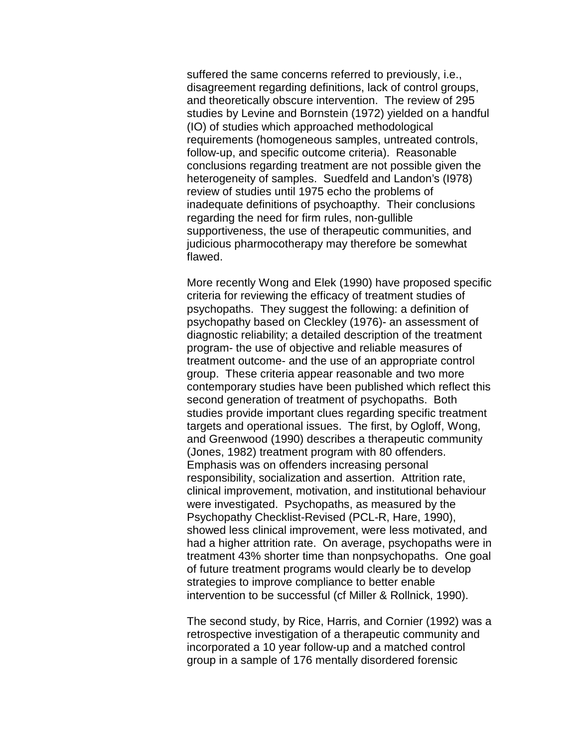suffered the same concerns referred to previously, i.e., disagreement regarding definitions, lack of control groups, and theoretically obscure intervention. The review of 295 studies by Levine and Bornstein (1972) yielded on a handful (IO) of studies which approached methodological requirements (homogeneous samples, untreated controls, follow-up, and specific outcome criteria). Reasonable conclusions regarding treatment are not possible given the heterogeneity of samples. Suedfeld and Landon's (I978) review of studies until 1975 echo the problems of inadequate definitions of psychoapthy. Their conclusions regarding the need for firm rules, non-gullible supportiveness, the use of therapeutic communities, and judicious pharmocotherapy may therefore be somewhat flawed.

More recently Wong and Elek (1990) have proposed specific criteria for reviewing the efficacy of treatment studies of psychopaths. They suggest the following: a definition of psychopathy based on Cleckley (1976)- an assessment of diagnostic reliability; a detailed description of the treatment program- the use of objective and reliable measures of treatment outcome- and the use of an appropriate control group. These criteria appear reasonable and two more contemporary studies have been published which reflect this second generation of treatment of psychopaths. Both studies provide important clues regarding specific treatment targets and operational issues. The first, by Ogloff, Wong, and Greenwood (1990) describes a therapeutic community (Jones, 1982) treatment program with 80 offenders. Emphasis was on offenders increasing personal responsibility, socialization and assertion. Attrition rate, clinical improvement, motivation, and institutional behaviour were investigated. Psychopaths, as measured by the Psychopathy Checklist-Revised (PCL-R, Hare, 1990), showed less clinical improvement, were less motivated, and had a higher attrition rate. On average, psychopaths were in treatment 43% shorter time than nonpsychopaths. One goal of future treatment programs would clearly be to develop strategies to improve compliance to better enable intervention to be successful (cf Miller & Rollnick, 1990).

The second study, by Rice, Harris, and Cornier (1992) was a retrospective investigation of a therapeutic community and incorporated a 10 year follow-up and a matched control group in a sample of 176 mentally disordered forensic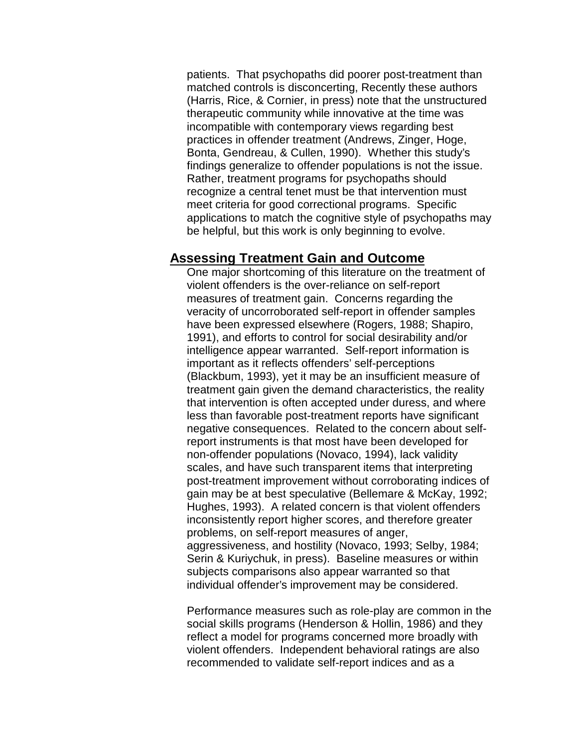patients. That psychopaths did poorer post-treatment than matched controls is disconcerting, Recently these authors (Harris, Rice, & Cornier, in press) note that the unstructured therapeutic community while innovative at the time was incompatible with contemporary views regarding best practices in offender treatment (Andrews, Zinger, Hoge, Bonta, Gendreau, & Cullen, 1990). Whether this study's findings generalize to offender populations is not the issue. Rather, treatment programs for psychopaths should recognize a central tenet must be that intervention must meet criteria for good correctional programs. Specific applications to match the cognitive style of psychopaths may be helpful, but this work is only beginning to evolve.

#### **Assessing Treatment Gain and Outcome**

One major shortcoming of this literature on the treatment of violent offenders is the over-reliance on self-report measures of treatment gain. Concerns regarding the veracity of uncorroborated self-report in offender samples have been expressed elsewhere (Rogers, 1988; Shapiro, 1991), and efforts to control for social desirability and/or intelligence appear warranted. Self-report information is important as it reflects offenders' self-perceptions (Blackbum, 1993), yet it may be an insufficient measure of treatment gain given the demand characteristics, the reality that intervention is often accepted under duress, and where less than favorable post-treatment reports have significant negative consequences. Related to the concern about selfreport instruments is that most have been developed for non-offender populations (Novaco, 1994), lack validity scales, and have such transparent items that interpreting post-treatment improvement without corroborating indices of gain may be at best speculative (Bellemare & McKay, 1992; Hughes, 1993). A related concern is that violent offenders inconsistently report higher scores, and therefore greater problems, on self-report measures of anger, aggressiveness, and hostility (Novaco, 1993; Selby, 1984; Serin & Kuriychuk, in press). Baseline measures or within subjects comparisons also appear warranted so that individual offender's improvement may be considered.

Performance measures such as role-play are common in the social skills programs (Henderson & Hollin, 1986) and they reflect a model for programs concerned more broadly with violent offenders. Independent behavioral ratings are also recommended to validate self-report indices and as a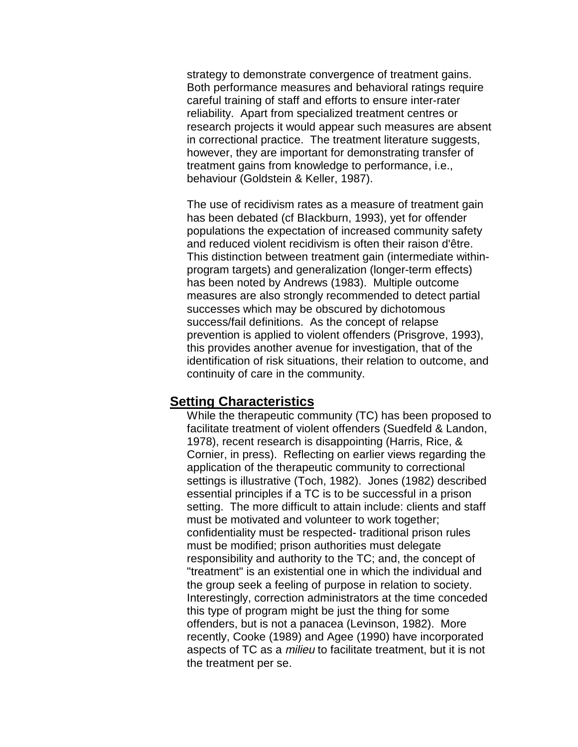strategy to demonstrate convergence of treatment gains. Both performance measures and behavioral ratings require careful training of staff and efforts to ensure inter-rater reliability. Apart from specialized treatment centres or research projects it would appear such measures are absent in correctional practice. The treatment literature suggests, however, they are important for demonstrating transfer of treatment gains from knowledge to performance, i.e., behaviour (Goldstein & Keller, 1987).

The use of recidivism rates as a measure of treatment gain has been debated (cf BIackburn, 1993), yet for offender populations the expectation of increased community safety and reduced violent recidivism is often their raison d'être. This distinction between treatment gain (intermediate withinprogram targets) and generalization (longer-term effects) has been noted by Andrews (1983). Multiple outcome measures are also strongly recommended to detect partial successes which may be obscured by dichotomous success/fail definitions. As the concept of relapse prevention is applied to violent offenders (Prisgrove, 1993), this provides another avenue for investigation, that of the identification of risk situations, their relation to outcome, and continuity of care in the community.

#### **Setting Characteristics**

While the therapeutic community (TC) has been proposed to facilitate treatment of violent offenders (Suedfeld & Landon, 1978), recent research is disappointing (Harris, Rice, & Cornier, in press). Reflecting on earlier views regarding the application of the therapeutic community to correctional settings is illustrative (Toch, 1982). Jones (1982) described essential principles if a TC is to be successful in a prison setting. The more difficult to attain include: clients and staff must be motivated and volunteer to work together; confidentiality must be respected- traditional prison rules must be modified; prison authorities must delegate responsibility and authority to the TC; and, the concept of "treatment" is an existential one in which the individual and the group seek a feeling of purpose in relation to society. Interestingly, correction administrators at the time conceded this type of program might be just the thing for some offenders, but is not a panacea (Levinson, 1982). More recently, Cooke (1989) and Agee (1990) have incorporated aspects of TC as a milieu to facilitate treatment, but it is not the treatment per se.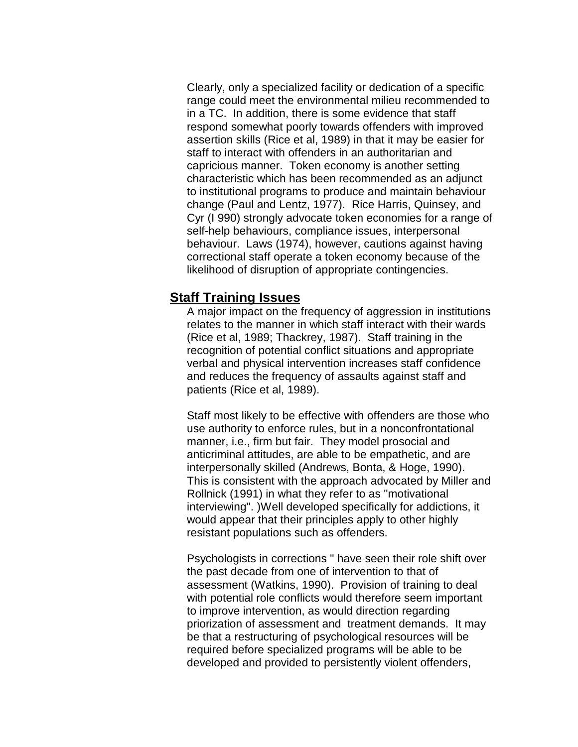Clearly, only a specialized facility or dedication of a specific range could meet the environmental milieu recommended to in a TC. In addition, there is some evidence that staff respond somewhat poorly towards offenders with improved assertion skills (Rice et al, 1989) in that it may be easier for staff to interact with offenders in an authoritarian and capricious manner. Token economy is another setting characteristic which has been recommended as an adjunct to institutional programs to produce and maintain behaviour change (Paul and Lentz, 1977). Rice Harris, Quinsey, and Cyr (I 990) strongly advocate token economies for a range of self-help behaviours, compliance issues, interpersonal behaviour. Laws (1974), however, cautions against having correctional staff operate a token economy because of the likelihood of disruption of appropriate contingencies.

#### **Staff Training Issues**

A major impact on the frequency of aggression in institutions relates to the manner in which staff interact with their wards (Rice et al, 1989; Thackrey, 1987). Staff training in the recognition of potential conflict situations and appropriate verbal and physical intervention increases staff confidence and reduces the frequency of assaults against staff and patients (Rice et al, 1989).

Staff most likely to be effective with offenders are those who use authority to enforce rules, but in a nonconfrontational manner, i.e., firm but fair. They model prosocial and anticriminal attitudes, are able to be empathetic, and are interpersonally skilled (Andrews, Bonta, & Hoge, 1990). This is consistent with the approach advocated by Miller and Rollnick (1991) in what they refer to as "motivational interviewing". )Well developed specifically for addictions, it would appear that their principles apply to other highly resistant populations such as offenders.

Psychologists in corrections " have seen their role shift over the past decade from one of intervention to that of assessment (Watkins, 1990). Provision of training to deal with potential role conflicts would therefore seem important to improve intervention, as would direction regarding priorization of assessment and treatment demands. It may be that a restructuring of psychological resources will be required before specialized programs will be able to be developed and provided to persistently violent offenders,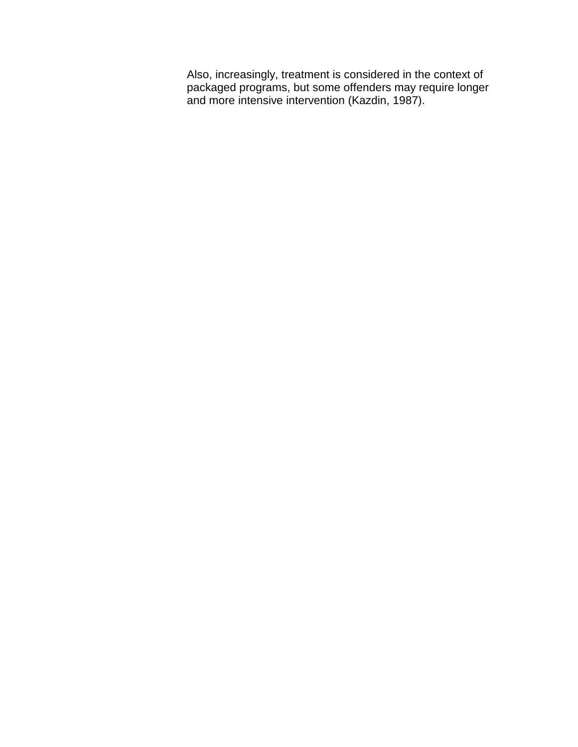Also, increasingly, treatment is considered in the context of packaged programs, but some offenders may require longer and more intensive intervention (Kazdin, 1987).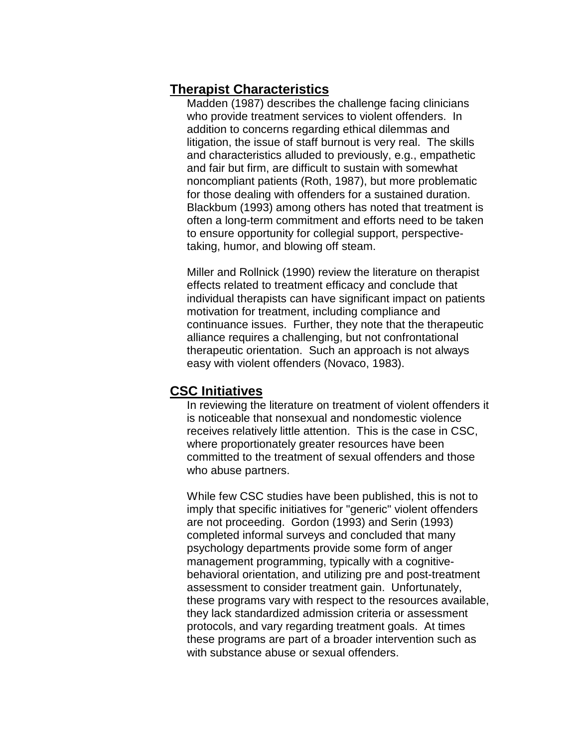### **Therapist Characteristics**

Madden (1987) describes the challenge facing clinicians who provide treatment services to violent offenders. In addition to concerns regarding ethical dilemmas and litigation, the issue of staff burnout is very real. The skills and characteristics alluded to previously, e.g., empathetic and fair but firm, are difficult to sustain with somewhat noncompliant patients (Roth, 1987), but more problematic for those dealing with offenders for a sustained duration. Blackbum (1993) among others has noted that treatment is often a long-term commitment and efforts need to be taken to ensure opportunity for collegial support, perspectivetaking, humor, and blowing off steam.

Miller and Rollnick (1990) review the literature on therapist effects related to treatment efficacy and conclude that individual therapists can have significant impact on patients motivation for treatment, including compliance and continuance issues. Further, they note that the therapeutic alliance requires a challenging, but not confrontational therapeutic orientation. Such an approach is not always easy with violent offenders (Novaco, 1983).

#### **CSC Initiatives**

In reviewing the literature on treatment of violent offenders it is noticeable that nonsexual and nondomestic violence receives relatively little attention. This is the case in CSC, where proportionately greater resources have been committed to the treatment of sexual offenders and those who abuse partners.

While few CSC studies have been published, this is not to imply that specific initiatives for "generic" violent offenders are not proceeding. Gordon (1993) and Serin (1993) completed informal surveys and concluded that many psychology departments provide some form of anger management programming, typically with a cognitivebehavioral orientation, and utilizing pre and post-treatment assessment to consider treatment gain. Unfortunately, these programs vary with respect to the resources available, they lack standardized admission criteria or assessment protocols, and vary regarding treatment goals. At times these programs are part of a broader intervention such as with substance abuse or sexual offenders.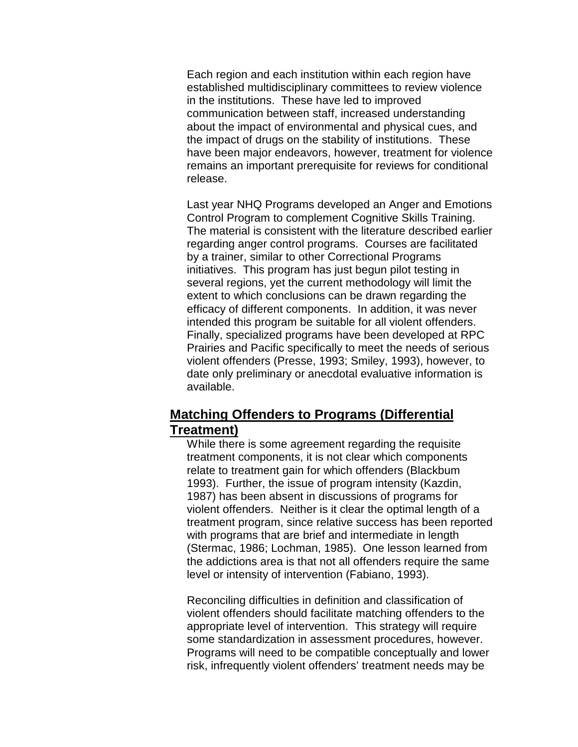Each region and each institution within each region have established multidisciplinary committees to review violence in the institutions. These have led to improved communication between staff, increased understanding about the impact of environmental and physical cues, and the impact of drugs on the stability of institutions. These have been major endeavors, however, treatment for violence remains an important prerequisite for reviews for conditional release.

Last year NHQ Programs developed an Anger and Emotions Control Program to complement Cognitive Skills Training. The material is consistent with the literature described earlier regarding anger control programs. Courses are facilitated by a trainer, similar to other Correctional Programs initiatives. This program has just begun pilot testing in several regions, yet the current methodology will limit the extent to which conclusions can be drawn regarding the efficacy of different components. In addition, it was never intended this program be suitable for all violent offenders. Finally, specialized programs have been developed at RPC Prairies and Pacific specifically to meet the needs of serious violent offenders (Presse, 1993; Smiley, 1993), however, to date only preliminary or anecdotal evaluative information is available.

### **Matching Offenders to Programs (Differential Treatment)**

While there is some agreement regarding the requisite treatment components, it is not clear which components relate to treatment gain for which offenders (Blackbum 1993). Further, the issue of program intensity (Kazdin, 1987) has been absent in discussions of programs for violent offenders. Neither is it clear the optimal length of a treatment program, since relative success has been reported with programs that are brief and intermediate in length (Stermac, 1986; Lochman, 1985). One lesson learned from the addictions area is that not all offenders require the same level or intensity of intervention (Fabiano, 1993).

Reconciling difficulties in definition and classification of violent offenders should facilitate matching offenders to the appropriate level of intervention. This strategy will require some standardization in assessment procedures, however. Programs will need to be compatible conceptually and lower risk, infrequently violent offenders' treatment needs may be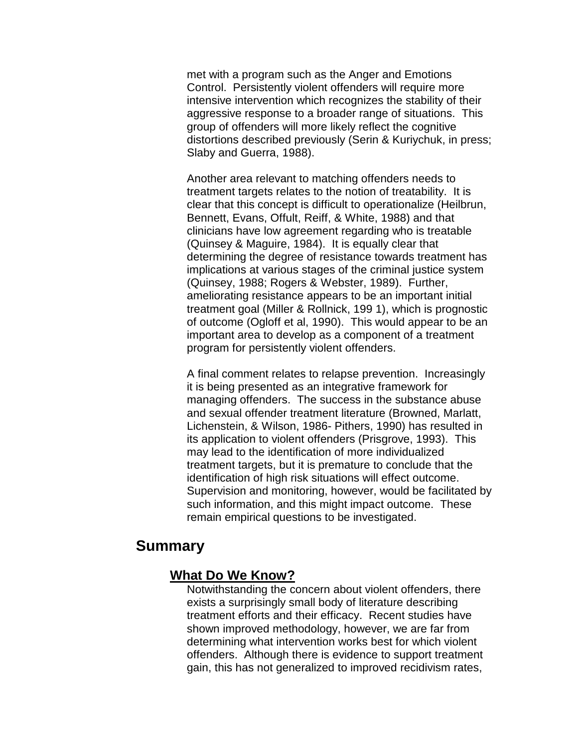met with a program such as the Anger and Emotions Control. Persistently violent offenders will require more intensive intervention which recognizes the stability of their aggressive response to a broader range of situations. This group of offenders will more likely reflect the cognitive distortions described previously (Serin & Kuriychuk, in press; Slaby and Guerra, 1988).

Another area relevant to matching offenders needs to treatment targets relates to the notion of treatability. It is clear that this concept is difficult to operationalize (Heilbrun, Bennett, Evans, Offult, Reiff, & White, 1988) and that clinicians have low agreement regarding who is treatable (Quinsey & Maguire, 1984). It is equally clear that determining the degree of resistance towards treatment has implications at various stages of the criminal justice system (Quinsey, 1988; Rogers & Webster, 1989). Further, ameliorating resistance appears to be an important initial treatment goal (Miller & Rollnick, 199 1), which is prognostic of outcome (Ogloff et al, 1990). This would appear to be an important area to develop as a component of a treatment program for persistently violent offenders.

A final comment relates to relapse prevention. Increasingly it is being presented as an integrative framework for managing offenders. The success in the substance abuse and sexual offender treatment literature (Browned, Marlatt, Lichenstein, & Wilson, 1986- Pithers, 1990) has resulted in its application to violent offenders (Prisgrove, 1993). This may lead to the identification of more individualized treatment targets, but it is premature to conclude that the identification of high risk situations will effect outcome. Supervision and monitoring, however, would be facilitated by such information, and this might impact outcome. These remain empirical questions to be investigated.

#### **Summary**

#### **What Do We Know?**

Notwithstanding the concern about violent offenders, there exists a surprisingly small body of literature describing treatment efforts and their efficacy. Recent studies have shown improved methodology, however, we are far from determining what intervention works best for which violent offenders. Although there is evidence to support treatment gain, this has not generalized to improved recidivism rates,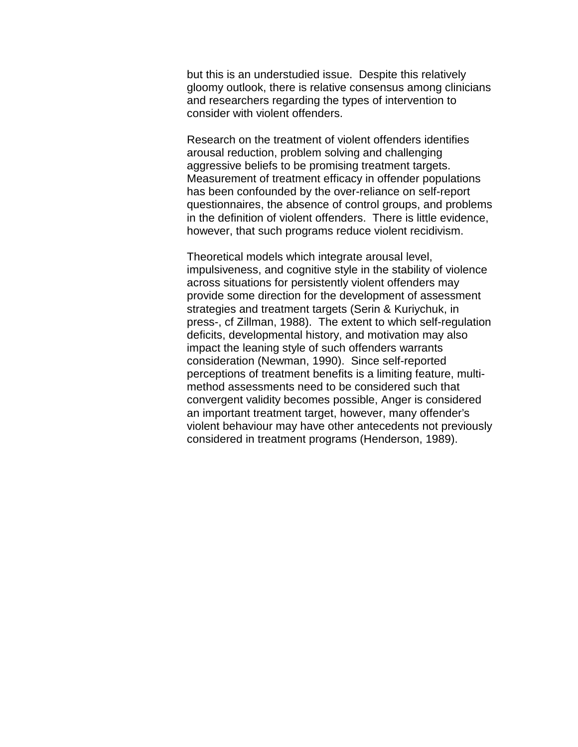but this is an understudied issue. Despite this relatively gloomy outlook, there is relative consensus among clinicians and researchers regarding the types of intervention to consider with violent offenders.

Research on the treatment of violent offenders identifies arousal reduction, problem solving and challenging aggressive beliefs to be promising treatment targets. Measurement of treatment efficacy in offender populations has been confounded by the over-reliance on self-report questionnaires, the absence of control groups, and problems in the definition of violent offenders. There is little evidence, however, that such programs reduce violent recidivism.

Theoretical models which integrate arousal level, impulsiveness, and cognitive style in the stability of violence across situations for persistently violent offenders may provide some direction for the development of assessment strategies and treatment targets (Serin & Kuriychuk, in press-, cf Zillman, 1988). The extent to which self-regulation deficits, developmental history, and motivation may also impact the leaning style of such offenders warrants consideration (Newman, 1990). Since self-reported perceptions of treatment benefits is a limiting feature, multimethod assessments need to be considered such that convergent validity becomes possible, Anger is considered an important treatment target, however, many offender's violent behaviour may have other antecedents not previously considered in treatment programs (Henderson, 1989).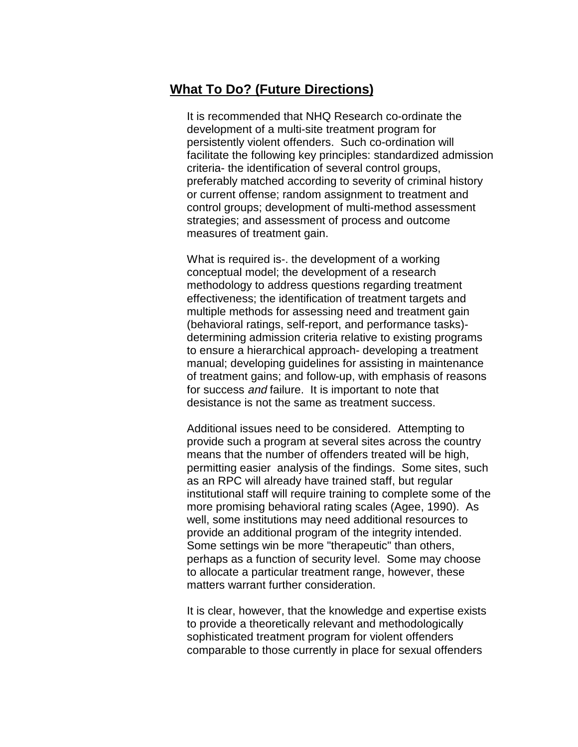### **What To Do? (Future Directions)**

It is recommended that NHQ Research co-ordinate the development of a multi-site treatment program for persistently violent offenders. Such co-ordination will facilitate the following key principles: standardized admission criteria- the identification of several control groups, preferably matched according to severity of criminal history or current offense; random assignment to treatment and control groups; development of multi-method assessment strategies; and assessment of process and outcome measures of treatment gain.

What is required is-. the development of a working conceptual model; the development of a research methodology to address questions regarding treatment effectiveness; the identification of treatment targets and multiple methods for assessing need and treatment gain (behavioral ratings, self-report, and performance tasks) determining admission criteria relative to existing programs to ensure a hierarchical approach- developing a treatment manual; developing guidelines for assisting in maintenance of treatment gains; and follow-up, with emphasis of reasons for success and failure. It is important to note that desistance is not the same as treatment success.

Additional issues need to be considered. Attempting to provide such a program at several sites across the country means that the number of offenders treated will be high, permitting easier analysis of the findings. Some sites, such as an RPC will already have trained staff, but regular institutional staff will require training to complete some of the more promising behavioral rating scales (Agee, 1990). As well, some institutions may need additional resources to provide an additional program of the integrity intended. Some settings win be more "therapeutic" than others, perhaps as a function of security level. Some may choose to allocate a particular treatment range, however, these matters warrant further consideration.

It is clear, however, that the knowledge and expertise exists to provide a theoretically relevant and methodologically sophisticated treatment program for violent offenders comparable to those currently in place for sexual offenders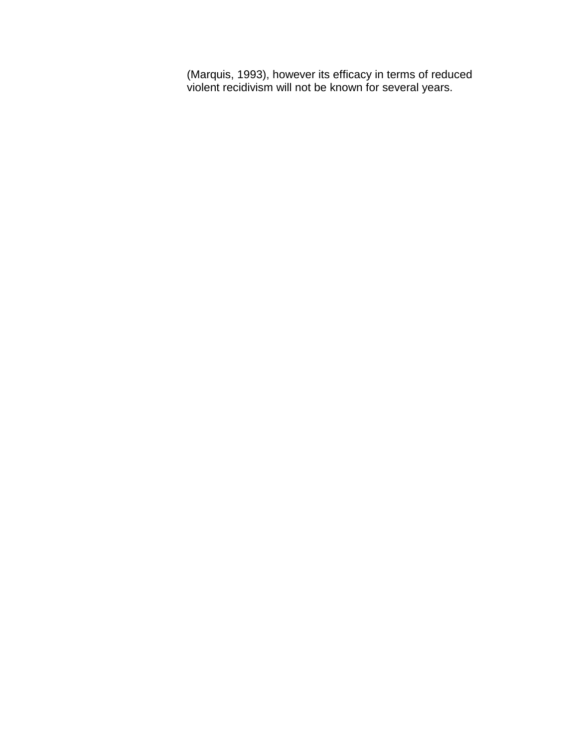(Marquis, 1993), however its efficacy in terms of reduced violent recidivism will not be known for several years.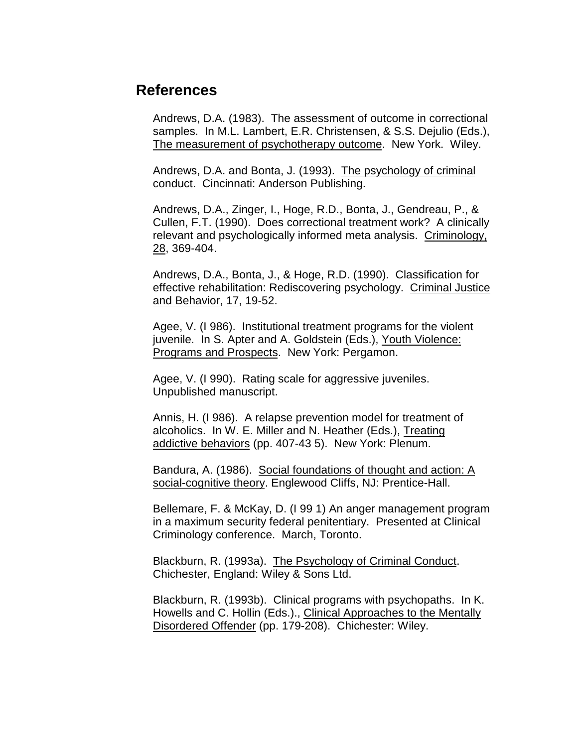## **References**

Andrews, D.A. (1983). The assessment of outcome in correctional samples. In M.L. Lambert, E.R. Christensen, & S.S. Dejulio (Eds.), The measurement of psychotherapy outcome. New York. Wiley.

Andrews, D.A. and Bonta, J. (1993). The psychology of criminal conduct. Cincinnati: Anderson Publishing.

Andrews, D.A., Zinger, I., Hoge, R.D., Bonta, J., Gendreau, P., & Cullen, F.T. (1990). Does correctional treatment work? A clinically relevant and psychologically informed meta analysis. Criminology, 28, 369-404.

Andrews, D.A., Bonta, J., & Hoge, R.D. (1990). Classification for effective rehabilitation: Rediscovering psychology. Criminal Justice and Behavior, 17, 19-52.

Agee, V. (I 986). Institutional treatment programs for the violent juvenile. In S. Apter and A. Goldstein (Eds.), Youth Violence: Programs and Prospects. New York: Pergamon.

Agee, V. (I 990). Rating scale for aggressive juveniles. Unpublished manuscript.

Annis, H. (I 986). A relapse prevention model for treatment of alcoholics. In W. E. Miller and N. Heather (Eds.), Treating addictive behaviors (pp. 407-43 5). New York: Plenum.

Bandura, A. (1986). Social foundations of thought and action: A social-cognitive theory. Englewood Cliffs, NJ: Prentice-Hall.

Bellemare, F. & McKay, D. (I 99 1) An anger management program in a maximum security federal penitentiary. Presented at Clinical Criminology conference. March, Toronto.

Blackburn, R. (1993a). The Psychology of Criminal Conduct. Chichester, England: Wiley & Sons Ltd.

Blackburn, R. (1993b). Clinical programs with psychopaths. In K. Howells and C. Hollin (Eds.)., Clinical Approaches to the Mentally Disordered Offender (pp. 179-208). Chichester: Wiley.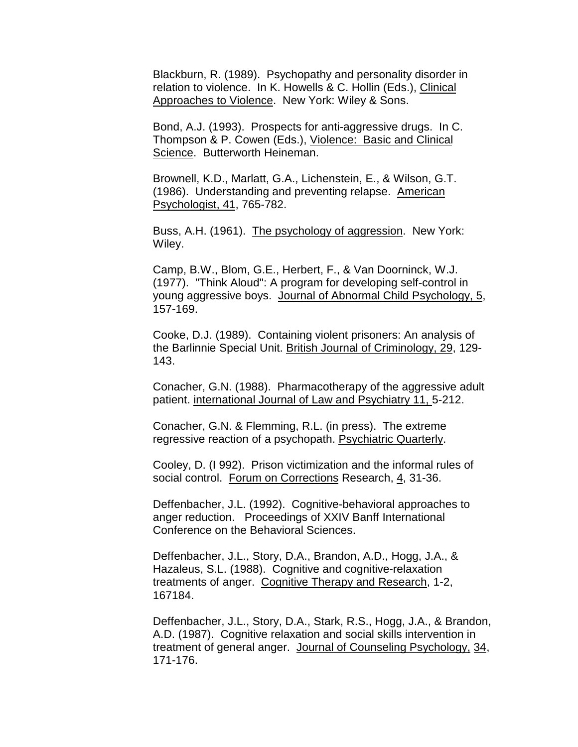Blackburn, R. (1989). Psychopathy and personality disorder in relation to violence. In K. Howells & C. Hollin (Eds.), Clinical Approaches to Violence. New York: Wiley & Sons.

Bond, A.J. (1993). Prospects for anti-aggressive drugs. In C. Thompson & P. Cowen (Eds.), Violence: Basic and Clinical Science. Butterworth Heineman.

Brownell, K.D., Marlatt, G.A., Lichenstein, E., & Wilson, G.T. (1986). Understanding and preventing relapse. American Psychologist, 41, 765-782.

Buss, A.H. (1961). The psychology of aggression. New York: Wiley.

Camp, B.W., Blom, G.E., Herbert, F., & Van Doorninck, W.J. (1977). "Think Aloud": A program for developing self-control in young aggressive boys. Journal of Abnormal Child Psychology, 5, 157-169.

Cooke, D.J. (1989). Containing violent prisoners: An analysis of the Barlinnie Special Unit. British Journal of Criminology, 29, 129- 143.

Conacher, G.N. (1988). Pharmacotherapy of the aggressive adult patient. international Journal of Law and Psychiatry 11, 5-212.

Conacher, G.N. & Flemming, R.L. (in press). The extreme regressive reaction of a psychopath. Psychiatric Quarterly.

Cooley, D. (I 992). Prison victimization and the informal rules of social control. Forum on Corrections Research, 4, 31-36.

Deffenbacher, J.L. (1992). Cognitive-behavioral approaches to anger reduction. Proceedings of XXIV Banff International Conference on the Behavioral Sciences.

Deffenbacher, J.L., Story, D.A., Brandon, A.D., Hogg, J.A., & Hazaleus, S.L. (1988). Cognitive and cognitive-relaxation treatments of anger. Cognitive Therapy and Research, 1-2, 167184.

Deffenbacher, J.L., Story, D.A., Stark, R.S., Hogg, J.A., & Brandon, A.D. (1987). Cognitive relaxation and social skills intervention in treatment of general anger. Journal of Counseling Psychology, 34, 171-176.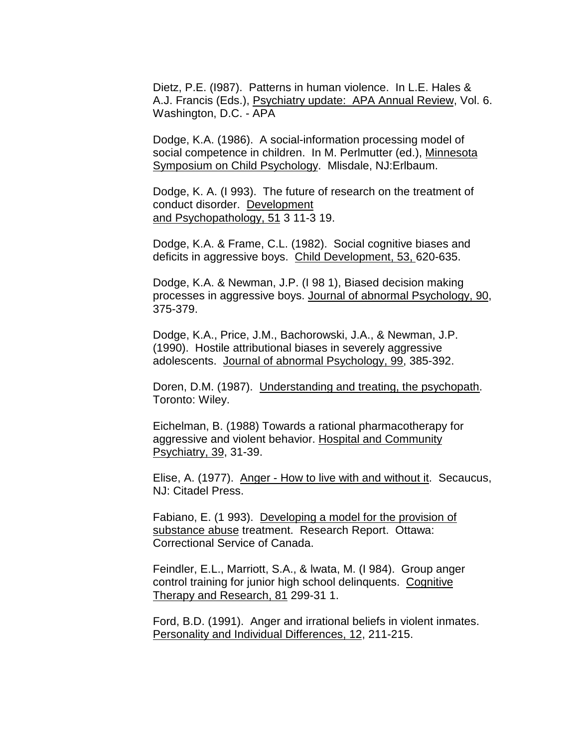Dietz, P.E. (I987). Patterns in human violence. In L.E. Hales & A.J. Francis (Eds.), Psychiatry update: APA Annual Review, Vol. 6. Washington, D.C. - APA

Dodge, K.A. (1986). A social-information processing model of social competence in children. In M. Perlmutter (ed.), Minnesota Symposium on Child Psychology. Mlisdale, NJ:Erlbaum.

Dodge, K. A. (I 993). The future of research on the treatment of conduct disorder. Development and Psychopathology, 51 3 11-3 19.

Dodge, K.A. & Frame, C.L. (1982). Social cognitive biases and deficits in aggressive boys. Child Development, 53, 620-635.

Dodge, K.A. & Newman, J.P. (I 98 1), Biased decision making processes in aggressive boys. Journal of abnormal Psychology, 90, 375-379.

Dodge, K.A., Price, J.M., Bachorowski, J.A., & Newman, J.P. (1990). Hostile attributional biases in severely aggressive adolescents. Journal of abnormal Psychology, 99, 385-392.

Doren, D.M. (1987). Understanding and treating, the psychopath. Toronto: Wiley.

Eichelman, B. (1988) Towards a rational pharmacotherapy for aggressive and violent behavior. Hospital and Community Psychiatry, 39, 31-39.

Elise, A. (1977). Anger - How to live with and without it. Secaucus, NJ: Citadel Press.

Fabiano, E. (1 993). Developing a model for the provision of substance abuse treatment. Research Report. Ottawa: Correctional Service of Canada.

Feindler, E.L., Marriott, S.A., & lwata, M. (I 984). Group anger control training for junior high school delinquents. Cognitive Therapy and Research, 81 299-31 1.

Ford, B.D. (1991). Anger and irrational beliefs in violent inmates. Personality and Individual Differences, 12, 211-215.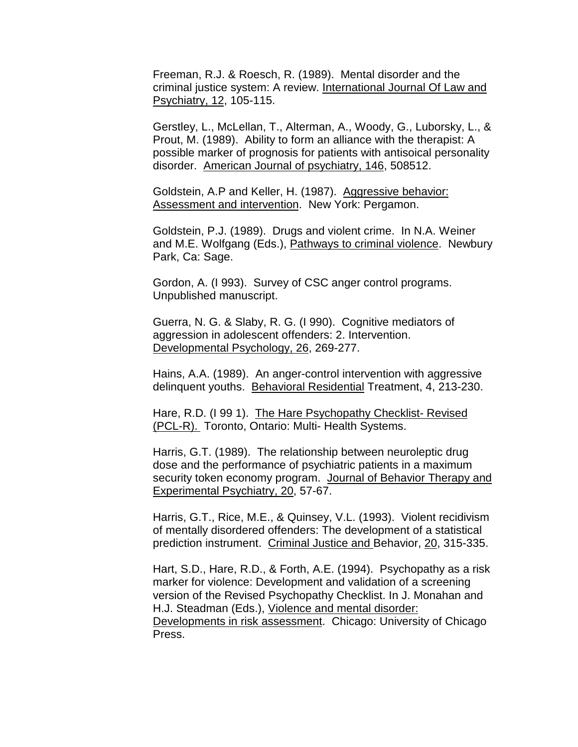Freeman, R.J. & Roesch, R. (1989). Mental disorder and the criminal justice system: A review. International Journal Of Law and Psychiatry, 12, 105-115.

Gerstley, L., McLellan, T., Alterman, A., Woody, G., Luborsky, L., & Prout, M. (1989). Ability to form an alliance with the therapist: A possible marker of prognosis for patients with antisoical personality disorder. American Journal of psychiatry, 146, 508512.

Goldstein, A.P and Keller, H. (1987). Aggressive behavior: Assessment and intervention. New York: Pergamon.

Goldstein, P.J. (1989). Drugs and violent crime. In N.A. Weiner and M.E. Wolfgang (Eds.), Pathways to criminal violence. Newbury Park, Ca: Sage.

Gordon, A. (I 993). Survey of CSC anger control programs. Unpublished manuscript.

Guerra, N. G. & Slaby, R. G. (I 990). Cognitive mediators of aggression in adolescent offenders: 2. Intervention. Developmental Psychology, 26, 269-277.

Hains, A.A. (1989). An anger-control intervention with aggressive delinquent youths. Behavioral Residential Treatment, 4, 213-230.

Hare, R.D. (I 99 1). The Hare Psychopathy Checklist- Revised (PCL-R). Toronto, Ontario: Multi- Health Systems.

Harris, G.T. (1989). The relationship between neuroleptic drug dose and the performance of psychiatric patients in a maximum security token economy program. Journal of Behavior Therapy and Experimental Psychiatry, 20, 57-67.

Harris, G.T., Rice, M.E., & Quinsey, V.L. (1993). Violent recidivism of mentally disordered offenders: The development of a statistical prediction instrument. Criminal Justice and Behavior, 20, 315-335.

Hart, S.D., Hare, R.D., & Forth, A.E. (1994). Psychopathy as a risk marker for violence: Development and validation of a screening version of the Revised Psychopathy Checklist. In J. Monahan and H.J. Steadman (Eds.), Violence and mental disorder: Developments in risk assessment. Chicago: University of Chicago Press.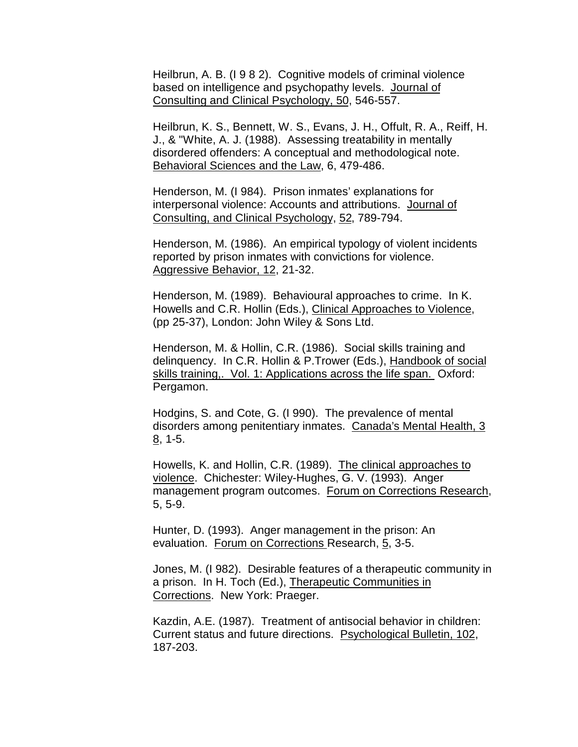Heilbrun, A. B. (I 9 8 2). Cognitive models of criminal violence based on intelligence and psychopathy levels. Journal of Consulting and Clinical Psychology, 50, 546-557.

Heilbrun, K. S., Bennett, W. S., Evans, J. H., Offult, R. A., Reiff, H. J., & "White, A. J. (1988). Assessing treatability in mentally disordered offenders: A conceptual and methodological note. Behavioral Sciences and the Law, 6, 479-486.

Henderson, M. (I 984). Prison inmates' explanations for interpersonal violence: Accounts and attributions. Journal of Consulting, and Clinical Psychology, 52, 789-794.

Henderson, M. (1986). An empirical typology of violent incidents reported by prison inmates with convictions for violence. Aggressive Behavior, 12, 21-32.

Henderson, M. (1989). Behavioural approaches to crime. In K. Howells and C.R. Hollin (Eds.), Clinical Approaches to Violence, (pp 25-37), London: John Wiley & Sons Ltd.

Henderson, M. & Hollin, C.R. (1986). Social skills training and delinquency. In C.R. Hollin & P.Trower (Eds.), Handbook of social skills training,. Vol. 1: Applications across the life span. Oxford: Pergamon.

Hodgins, S. and Cote, G. (I 990). The prevalence of mental disorders among penitentiary inmates. Canada's Mental Health, 3 8, 1-5.

Howells, K. and Hollin, C.R. (1989). The clinical approaches to violence. Chichester: Wiley-Hughes, G. V. (1993). Anger management program outcomes. Forum on Corrections Research, 5, 5-9.

Hunter, D. (1993). Anger management in the prison: An evaluation. Forum on Corrections Research, 5, 3-5.

Jones, M. (I 982). Desirable features of a therapeutic community in a prison. In H. Toch (Ed.), Therapeutic Communities in Corrections. New York: Praeger.

Kazdin, A.E. (1987). Treatment of antisocial behavior in children: Current status and future directions. Psychological Bulletin, 102, 187-203.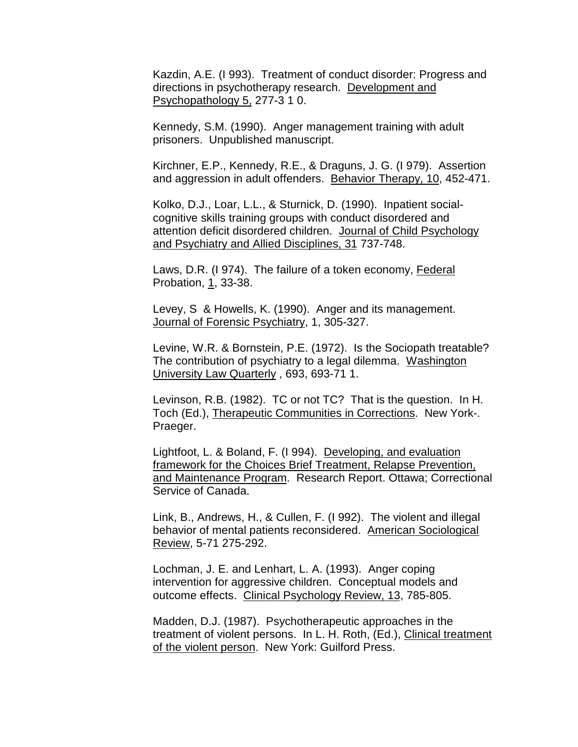Kazdin, A.E. (I 993). Treatment of conduct disorder: Progress and directions in psychotherapy research. Development and Psychopathology 5, 277-3 1 0.

Kennedy, S.M. (1990). Anger management training with adult prisoners. Unpublished manuscript.

Kirchner, E.P., Kennedy, R.E., & Draguns, J. G. (I 979). Assertion and aggression in adult offenders. Behavior Therapy, 10, 452-471.

Kolko, D.J., Loar, L.L., & Sturnick, D. (1990). Inpatient socialcognitive skills training groups with conduct disordered and attention deficit disordered children. Journal of Child Psychology and Psychiatry and Allied Disciplines, 31 737-748.

Laws, D.R. (I 974). The failure of a token economy, Federal Probation, 1, 33-38.

Levey, S & Howells, K. (1990). Anger and its management. Journal of Forensic Psychiatry, 1, 305-327.

Levine, W.R. & Bornstein, P.E. (1972). Is the Sociopath treatable? The contribution of psychiatry to a legal dilemma. Washington University Law Quarterly , 693, 693-71 1.

Levinson, R.B. (1982). TC or not TC? That is the question. In H. Toch (Ed.), Therapeutic Communities in Corrections. New York-. Praeger.

Lightfoot, L. & Boland, F. (I 994). Developing, and evaluation framework for the Choices Brief Treatment, Relapse Prevention, and Maintenance Program. Research Report. Ottawa; Correctional Service of Canada.

Link, B., Andrews, H., & Cullen, F. (I 992). The violent and illegal behavior of mental patients reconsidered. American Sociological Review, 5-71 275-292.

Lochman, J. E. and Lenhart, L. A. (1993). Anger coping intervention for aggressive children. Conceptual models and outcome effects. Clinical Psychology Review, 13, 785-805.

Madden, D.J. (1987). Psychotherapeutic approaches in the treatment of violent persons. In L. H. Roth, (Ed.), Clinical treatment of the violent person. New York: Guilford Press.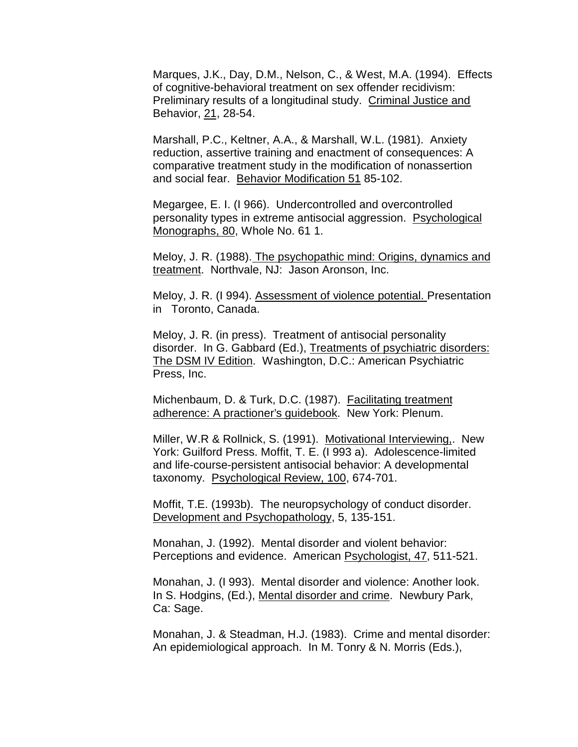Marques, J.K., Day, D.M., Nelson, C., & West, M.A. (1994). Effects of cognitive-behavioral treatment on sex offender recidivism: Preliminary results of a longitudinal study. Criminal Justice and Behavior, 21, 28-54.

Marshall, P.C., Keltner, A.A., & Marshall, W.L. (1981). Anxiety reduction, assertive training and enactment of consequences: A comparative treatment study in the modification of nonassertion and social fear. Behavior Modification 51 85-102.

Megargee, E. I. (I 966). Undercontrolled and overcontrolled personality types in extreme antisocial aggression. Psychological Monographs, 80, Whole No. 61 1.

Meloy, J. R. (1988). The psychopathic mind: Origins, dynamics and treatment. Northvale, NJ: Jason Aronson, Inc.

Meloy, J. R. (I 994). Assessment of violence potential. Presentation in Toronto, Canada.

Meloy, J. R. (in press). Treatment of antisocial personality disorder. In G. Gabbard (Ed.), Treatments of psychiatric disorders: The DSM IV Edition. Washington, D.C.: American Psychiatric Press, Inc.

Michenbaum, D. & Turk, D.C. (1987). Facilitating treatment adherence: A practioner's guidebook. New York: Plenum.

Miller, W.R & Rollnick, S. (1991). Motivational Interviewing,. New York: Guilford Press. Moffit, T. E. (I 993 a). Adolescence-limited and life-course-persistent antisocial behavior: A developmental taxonomy. Psychological Review, 100, 674-701.

Moffit, T.E. (1993b). The neuropsychology of conduct disorder. Development and Psychopathology, 5, 135-151.

Monahan, J. (1992). Mental disorder and violent behavior: Perceptions and evidence. American Psychologist, 47, 511-521.

Monahan, J. (I 993). Mental disorder and violence: Another look. In S. Hodgins, (Ed.), Mental disorder and crime. Newbury Park, Ca: Sage.

Monahan, J. & Steadman, H.J. (1983). Crime and mental disorder: An epidemiological approach. In M. Tonry & N. Morris (Eds.),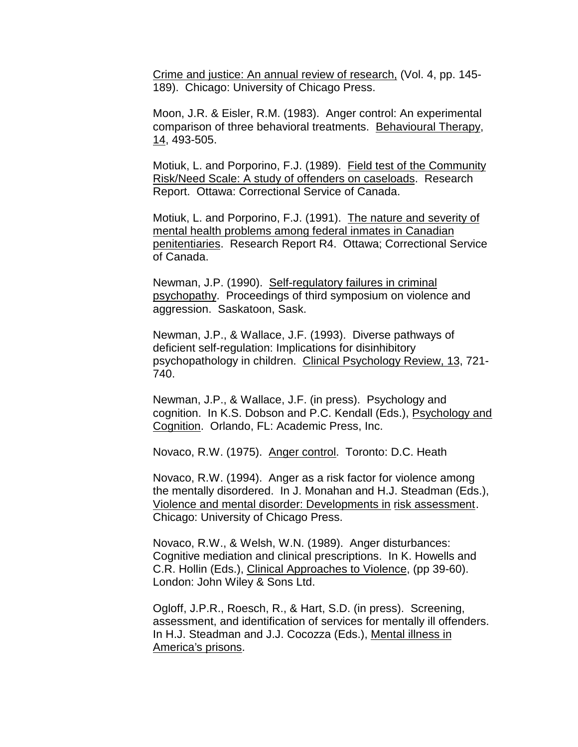Crime and justice: An annual review of research, (Vol. 4, pp. 145- 189). Chicago: University of Chicago Press.

Moon, J.R. & Eisler, R.M. (1983). Anger control: An experimental comparison of three behavioral treatments. Behavioural Therapy, 14, 493-505.

Motiuk, L. and Porporino, F.J. (1989). Field test of the Community Risk/Need Scale: A study of offenders on caseloads. Research Report. Ottawa: Correctional Service of Canada.

Motiuk, L. and Porporino, F.J. (1991). The nature and severity of mental health problems among federal inmates in Canadian penitentiaries. Research Report R4. Ottawa; Correctional Service of Canada.

Newman, J.P. (1990). Self-regulatory failures in criminal psychopathy. Proceedings of third symposium on violence and aggression. Saskatoon, Sask.

Newman, J.P., & Wallace, J.F. (1993). Diverse pathways of deficient self-regulation: Implications for disinhibitory psychopathology in children. Clinical Psychology Review, 13, 721- 740.

Newman, J.P., & Wallace, J.F. (in press). Psychology and cognition. In K.S. Dobson and P.C. Kendall (Eds.), Psychology and Cognition. Orlando, FL: Academic Press, Inc.

Novaco, R.W. (1975). Anger control. Toronto: D.C. Heath

Novaco, R.W. (1994). Anger as a risk factor for violence among the mentally disordered. In J. Monahan and H.J. Steadman (Eds.), Violence and mental disorder: Developments in risk assessment. Chicago: University of Chicago Press.

Novaco, R.W., & Welsh, W.N. (1989). Anger disturbances: Cognitive mediation and clinical prescriptions. In K. Howells and C.R. Hollin (Eds.), Clinical Approaches to Violence, (pp 39-60). London: John Wiley & Sons Ltd.

Ogloff, J.P.R., Roesch, R., & Hart, S.D. (in press). Screening, assessment, and identification of services for mentally ill offenders. In H.J. Steadman and J.J. Cocozza (Eds.), Mental illness in America's prisons.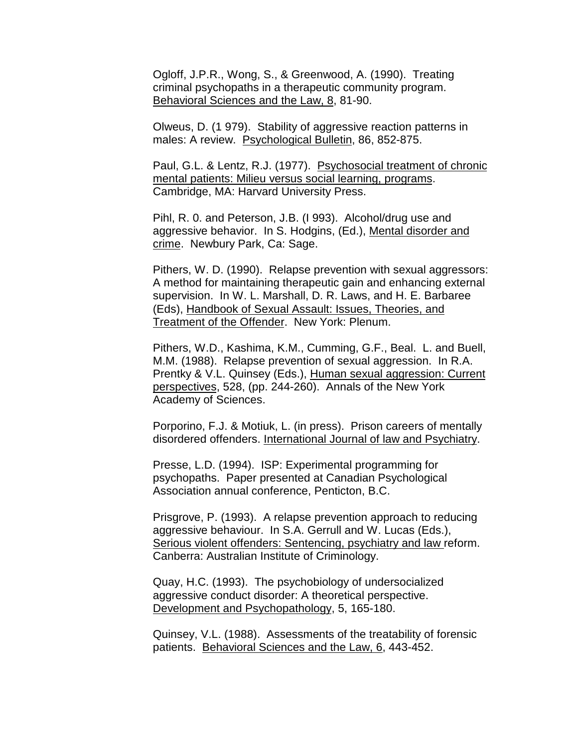Ogloff, J.P.R., Wong, S., & Greenwood, A. (1990). Treating criminal psychopaths in a therapeutic community program. Behavioral Sciences and the Law, 8, 81-90.

Olweus, D. (1 979). Stability of aggressive reaction patterns in males: A review. Psychological Bulletin, 86, 852-875.

Paul, G.L. & Lentz, R.J. (1977). Psychosocial treatment of chronic mental patients: Milieu versus social learning, programs. Cambridge, MA: Harvard University Press.

Pihl, R. 0. and Peterson, J.B. (I 993). Alcohol/drug use and aggressive behavior. In S. Hodgins, (Ed.), Mental disorder and crime. Newbury Park, Ca: Sage.

Pithers, W. D. (1990). Relapse prevention with sexual aggressors: A method for maintaining therapeutic gain and enhancing external supervision. In W. L. Marshall, D. R. Laws, and H. E. Barbaree (Eds), Handbook of Sexual Assault: Issues, Theories, and Treatment of the Offender. New York: Plenum.

Pithers, W.D., Kashima, K.M., Cumming, G.F., Beal. L. and Buell, M.M. (1988). Relapse prevention of sexual aggression. In R.A. Prentky & V.L. Quinsey (Eds.), Human sexual aggression: Current perspectives, 528, (pp. 244-260). Annals of the New York Academy of Sciences.

Porporino, F.J. & Motiuk, L. (in press). Prison careers of mentally disordered offenders. International Journal of law and Psychiatry.

Presse, L.D. (1994). ISP: Experimental programming for psychopaths. Paper presented at Canadian Psychological Association annual conference, Penticton, B.C.

Prisgrove, P. (1993). A relapse prevention approach to reducing aggressive behaviour. In S.A. Gerrull and W. Lucas (Eds.), Serious violent offenders: Sentencing, psychiatry and law reform. Canberra: Australian Institute of Criminology.

Quay, H.C. (1993). The psychobiology of undersocialized aggressive conduct disorder: A theoretical perspective. Development and Psychopathology, 5, 165-180.

Quinsey, V.L. (1988). Assessments of the treatability of forensic patients. Behavioral Sciences and the Law, 6, 443-452.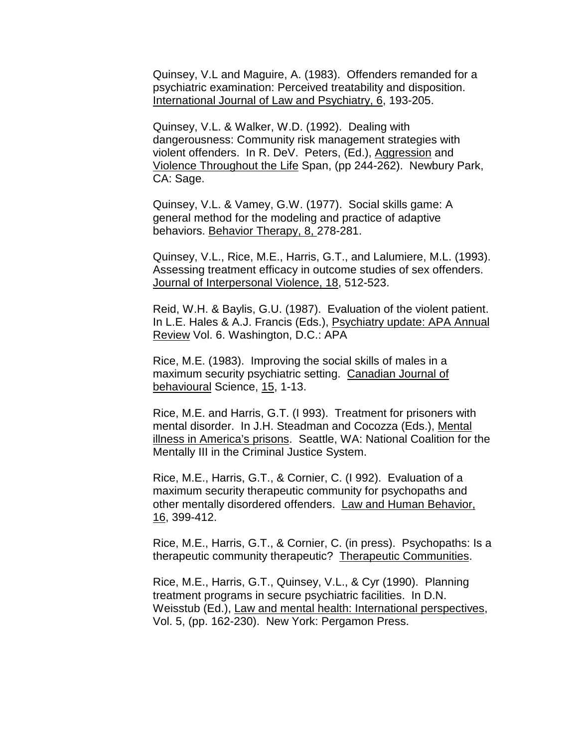Quinsey, V.L and Maguire, A. (1983). Offenders remanded for a psychiatric examination: Perceived treatability and disposition. International Journal of Law and Psychiatry, 6, 193-205.

Quinsey, V.L. & Walker, W.D. (1992). Dealing with dangerousness: Community risk management strategies with violent offenders. In R. DeV. Peters, (Ed.), Aggression and Violence Throughout the Life Span, (pp 244-262). Newbury Park, CA: Sage.

Quinsey, V.L. & Vamey, G.W. (1977). Social skills game: A general method for the modeling and practice of adaptive behaviors. Behavior Therapy, 8, 278-281.

Quinsey, V.L., Rice, M.E., Harris, G.T., and Lalumiere, M.L. (1993). Assessing treatment efficacy in outcome studies of sex offenders. Journal of Interpersonal Violence, 18, 512-523.

Reid, W.H. & Baylis, G.U. (1987). Evaluation of the violent patient. In L.E. Hales & A.J. Francis (Eds.), Psychiatry update: APA Annual Review Vol. 6. Washington, D.C.: APA

Rice, M.E. (1983). Improving the social skills of males in a maximum security psychiatric setting. Canadian Journal of behavioural Science, 15, 1-13.

Rice, M.E. and Harris, G.T. (I 993). Treatment for prisoners with mental disorder. In J.H. Steadman and Cocozza (Eds.), Mental illness in America's prisons. Seattle, WA: National Coalition for the Mentally III in the Criminal Justice System.

Rice, M.E., Harris, G.T., & Cornier, C. (I 992). Evaluation of a maximum security therapeutic community for psychopaths and other mentally disordered offenders. Law and Human Behavior, 16, 399-412.

Rice, M.E., Harris, G.T., & Cornier, C. (in press). Psychopaths: Is a therapeutic community therapeutic? Therapeutic Communities.

Rice, M.E., Harris, G.T., Quinsey, V.L., & Cyr (1990). Planning treatment programs in secure psychiatric facilities. In D.N. Weisstub (Ed.), Law and mental health: International perspectives, Vol. 5, (pp. 162-230). New York: Pergamon Press.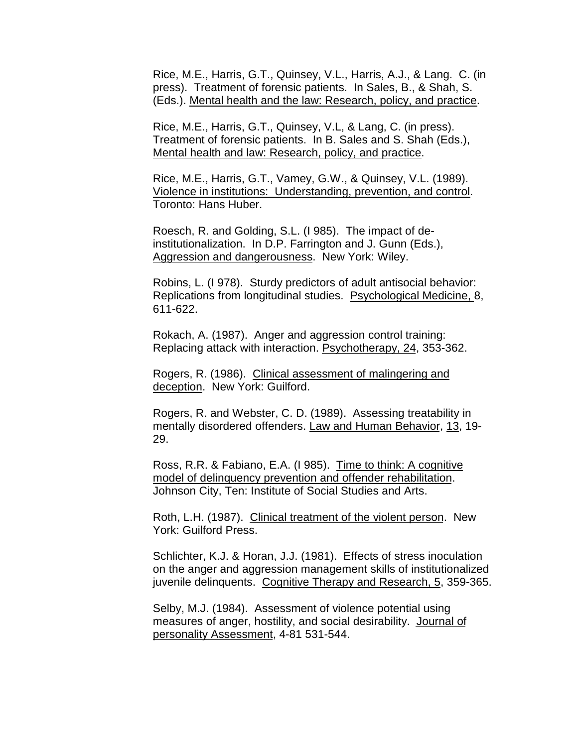Rice, M.E., Harris, G.T., Quinsey, V.L., Harris, A.J., & Lang. C. (in press). Treatment of forensic patients. In Sales, B., & Shah, S. (Eds.). Mental health and the law: Research, policy, and practice.

Rice, M.E., Harris, G.T., Quinsey, V.L, & Lang, C. (in press). Treatment of forensic patients. In B. Sales and S. Shah (Eds.), Mental health and law: Research, policy, and practice.

Rice, M.E., Harris, G.T., Vamey, G.W., & Quinsey, V.L. (1989). Violence in institutions: Understanding, prevention, and control. Toronto: Hans Huber.

Roesch, R. and Golding, S.L. (I 985). The impact of deinstitutionalization. In D.P. Farrington and J. Gunn (Eds.), Aggression and dangerousness. New York: Wiley.

Robins, L. (I 978). Sturdy predictors of adult antisocial behavior: Replications from longitudinal studies. Psychological Medicine, 8, 611-622.

Rokach, A. (1987). Anger and aggression control training: Replacing attack with interaction. Psychotherapy, 24, 353-362.

Rogers, R. (1986). Clinical assessment of malingering and deception. New York: Guilford.

Rogers, R. and Webster, C. D. (1989). Assessing treatability in mentally disordered offenders. Law and Human Behavior, 13, 19- 29.

Ross, R.R. & Fabiano, E.A. (I 985). Time to think: A cognitive model of delinquency prevention and offender rehabilitation. Johnson City, Ten: Institute of Social Studies and Arts.

Roth, L.H. (1987). Clinical treatment of the violent person. New York: Guilford Press.

Schlichter, K.J. & Horan, J.J. (1981). Effects of stress inoculation on the anger and aggression management skills of institutionalized juvenile delinquents. Cognitive Therapy and Research, 5, 359-365.

Selby, M.J. (1984). Assessment of violence potential using measures of anger, hostility, and social desirability. Journal of personality Assessment, 4-81 531-544.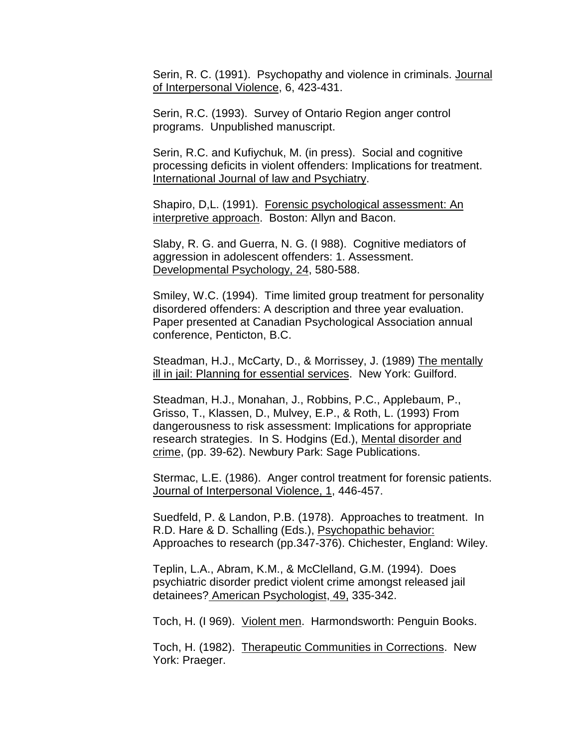Serin, R. C. (1991). Psychopathy and violence in criminals. Journal of Interpersonal Violence, 6, 423-431.

Serin, R.C. (1993). Survey of Ontario Region anger control programs. Unpublished manuscript.

Serin, R.C. and Kufiychuk, M. (in press). Social and cognitive processing deficits in violent offenders: Implications for treatment. International Journal of law and Psychiatry.

Shapiro, D,L. (1991). Forensic psychological assessment: An interpretive approach. Boston: Allyn and Bacon.

Slaby, R. G. and Guerra, N. G. (I 988). Cognitive mediators of aggression in adolescent offenders: 1. Assessment. Developmental Psychology, 24, 580-588.

Smiley, W.C. (1994). Time limited group treatment for personality disordered offenders: A description and three year evaluation. Paper presented at Canadian Psychological Association annual conference, Penticton, B.C.

Steadman, H.J., McCarty, D., & Morrissey, J. (1989) The mentally ill in jail: Planning for essential services. New York: Guilford.

Steadman, H.J., Monahan, J., Robbins, P.C., Applebaum, P., Grisso, T., Klassen, D., Mulvey, E.P., & Roth, L. (1993) From dangerousness to risk assessment: Implications for appropriate research strategies. In S. Hodgins (Ed.), Mental disorder and crime, (pp. 39-62). Newbury Park: Sage Publications.

Stermac, L.E. (1986). Anger control treatment for forensic patients. Journal of Interpersonal Violence, 1, 446-457.

Suedfeld, P. & Landon, P.B. (1978). Approaches to treatment. In R.D. Hare & D. Schalling (Eds.), Psychopathic behavior: Approaches to research (pp.347-376). Chichester, England: Wiley.

Teplin, L.A., Abram, K.M., & McClelland, G.M. (1994). Does psychiatric disorder predict violent crime amongst released jail detainees? American Psychologist, 49, 335-342.

Toch, H. (I 969). Violent men. Harmondsworth: Penguin Books.

Toch, H. (1982). Therapeutic Communities in Corrections. New York: Praeger.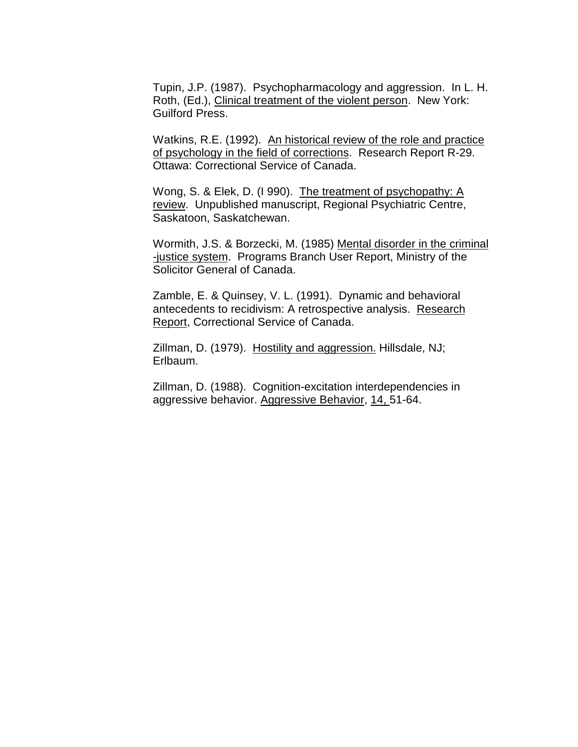Tupin, J.P. (1987). Psychopharmacology and aggression. In L. H. Roth, (Ed.), Clinical treatment of the violent person. New York: Guilford Press.

Watkins, R.E. (1992). An historical review of the role and practice of psychology in the field of corrections. Research Report R-29. Ottawa: Correctional Service of Canada.

Wong, S. & Elek, D. (I 990). The treatment of psychopathy: A review. Unpublished manuscript, Regional Psychiatric Centre, Saskatoon, Saskatchewan.

Wormith, J.S. & Borzecki, M. (1985) Mental disorder in the criminal -justice system. Programs Branch User Report, Ministry of the Solicitor General of Canada.

Zamble, E. & Quinsey, V. L. (1991). Dynamic and behavioral antecedents to recidivism: A retrospective analysis. Research Report, Correctional Service of Canada.

Zillman, D. (1979). Hostility and aggression. Hillsdale, NJ; Erlbaum.

Zillman, D. (1988). Cognition-excitation interdependencies in aggressive behavior. Aggressive Behavior, 14, 51-64.